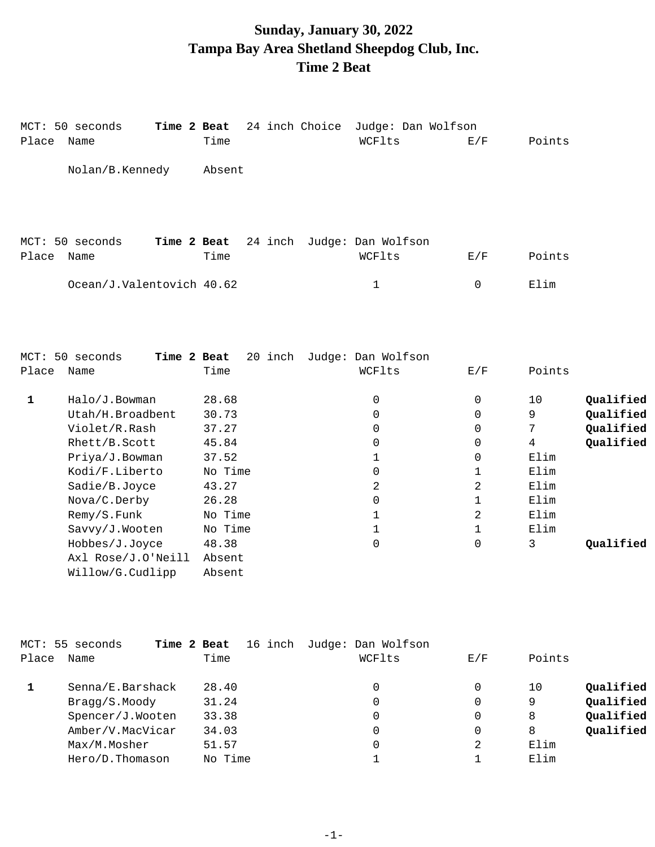## **Sunday, January 30, 2022 Tampa Bay Area Shetland Sheepdog Club, Inc. Time 2 Beat**

|              | MCT: 50 seconds<br>Time 2 Beat         |         |         | 24 inch Choice | Judge: Dan Wolfson                   |               |                     |           |
|--------------|----------------------------------------|---------|---------|----------------|--------------------------------------|---------------|---------------------|-----------|
| Place Name   |                                        | Time    |         |                | WCFlts                               | E/F           | Points              |           |
|              | Nolan/B.Kennedy                        | Absent  |         |                |                                      |               |                     |           |
|              |                                        |         |         |                |                                      |               |                     |           |
| Place        | MCT: 50 seconds<br>Time 2 Beat<br>Name | Time    |         |                | 24 inch Judge: Dan Wolfson<br>WCFlts | E/F           | Points              |           |
|              |                                        |         |         |                |                                      |               |                     |           |
|              | Ocean/J.Valentovich 40.62              |         |         |                | $\mathbf{1}$                         | $\mathbf 0$   | Elim                |           |
|              |                                        |         |         |                |                                      |               |                     |           |
|              |                                        |         |         |                |                                      |               |                     |           |
|              |                                        |         |         |                |                                      |               |                     |           |
|              | MCT: 50 seconds<br>Time 2 Beat         |         | 20 inch |                | Judge: Dan Wolfson                   |               |                     |           |
| Place Name   |                                        | Time    |         |                | WCFlts                               | E/F           | Points              |           |
|              |                                        |         |         |                |                                      |               |                     |           |
| $\mathbf{1}$ | Halo/J.Bowman                          | 28.68   |         |                | $\mathbf 0$                          | 0             | 10                  | Qualified |
|              | Utah/H.Broadbent<br>Violet/R.Rash      | 30.73   |         |                | $\mathbf 0$                          | 0             | 9                   | Qualified |
|              |                                        | 37.27   |         |                | $\mathbf 0$                          | 0             | 7<br>$\overline{4}$ | Qualified |
|              | Rhett/B.Scott                          | 45.84   |         |                | 0<br>1                               | 0<br>$\Omega$ | Elim                | Qualified |
|              | Priya/J.Bowman                         | 37.52   |         |                | 0                                    |               | Elim                |           |
|              | Kodi/F.Liberto                         | No Time |         |                |                                      | 1             | Elim                |           |
|              | Sadie/B.Joyce                          | 43.27   |         |                | 2                                    | 2             |                     |           |
|              | Nova/C.Derby                           | 26.28   |         |                | 0                                    | 1             | Elim                |           |
|              | Remy/S.Funk                            | No Time |         |                | $\mathbf 1$                          | 2             | Elim                |           |
|              | Savvy/J.Wooten                         | No Time |         |                | 1                                    | $\mathbf 1$   | Elim                |           |
|              | Hobbes/J.Joyce                         | 48.38   |         |                | $\Omega$                             | $\Omega$      | 3                   | Qualified |
|              | Axl Rose/J.O'Neill                     | Absent  |         |                |                                      |               |                     |           |
|              | Willow/G.Cudlipp                       | Absent  |         |                |                                      |               |                     |           |

|       | MCT: 55 seconds  | 16 inch<br>Time 2 Beat | Judge: Dan Wolfson |     |                 |
|-------|------------------|------------------------|--------------------|-----|-----------------|
| Place | Name             | Time                   | WCFlts             | E/F | Points          |
|       | Senna/E.Barshack | 28.40                  | 0                  | 0   | Qualified<br>10 |
|       | Bragg/S.Moody    | 31.24                  | 0                  | 0   | Qualified<br>9  |
|       | Spencer/J.Wooten | 33.38                  | 0                  | 0   | Qualified<br>8  |
|       | Amber/V.MacVicar | 34.03                  | 0                  | 0   | Qualified<br>8  |
|       | Max/M.Mosher     | 51.57                  | 0                  | 2   | Elim            |
|       | Hero/D.Thomason  | No Time                |                    |     | Elim            |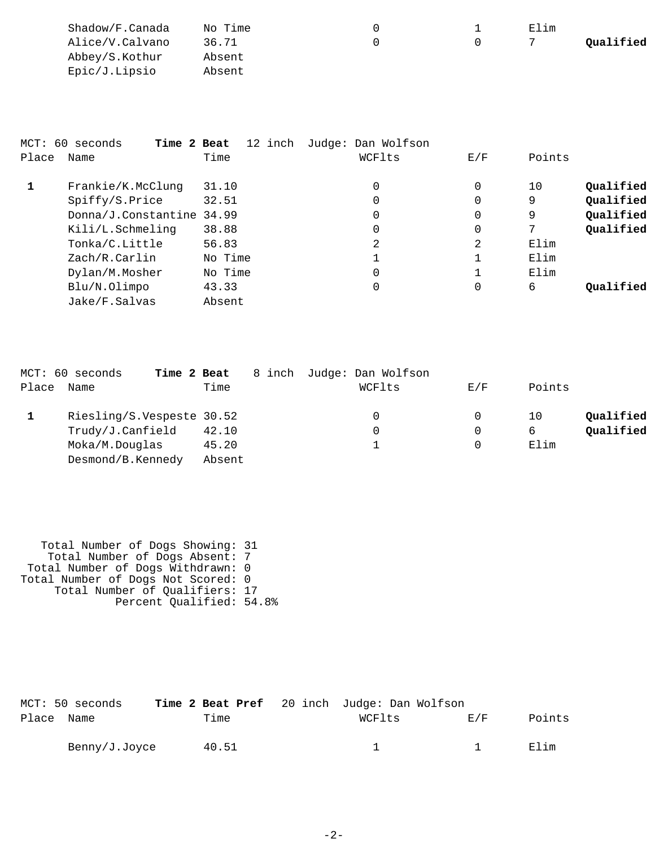| Shadow/F.Canada | No Time |  | Elim |           |
|-----------------|---------|--|------|-----------|
| Alice/V.Calvano | 36.71   |  |      | Qualified |
| Abbey/S.Kothur  | Absent  |  |      |           |
| Epic/J.Lipsio   | Absent  |  |      |           |

|       | MCT: 60 seconds<br>Time 2 Beat | 12 inch | Judge: Dan Wolfson |          |        |           |
|-------|--------------------------------|---------|--------------------|----------|--------|-----------|
| Place | Name                           | Time    | WCFlts             | E/F      | Points |           |
|       | Frankie/K.McClung              | 31.10   | 0                  | $\Omega$ | 10     | Qualified |
|       | Spiffy/S.Price                 | 32.51   | 0                  | 0        | 9      | Qualified |
|       | Donna/J.Constantine            | 34.99   | 0                  | 0        | 9      | Qualified |
|       | Kili/L.Schmeling               | 38.88   | $\mathbf 0$        | 0        | 7      | Qualified |
|       | Tonka/C.Little                 | 56.83   | 2                  | 2        | Elim   |           |
|       | Zach/R.Carlin                  | No Time | 1                  |          | Elim   |           |
|       | Dylan/M.Mosher                 | No Time | $\Omega$           |          | Elim   |           |
|       | Blu/N.Olimpo                   | 43.33   | 0                  | 0        | 6      | Oualified |
|       | Jake/F.Salvas                  | Absent  |                    |          |        |           |

|       | MCT: 60 seconds<br>Time 2 Beat |        | 8 inch | Judge: Dan Wolfson |     |        |           |
|-------|--------------------------------|--------|--------|--------------------|-----|--------|-----------|
| Place | Name                           | Time   |        | WCFlts             | E/F | Points |           |
|       | Riesling/S.Vespeste 30.52      |        |        | 0                  |     | 10     | Oualified |
|       | Trudy/J.Canfield               | 42.10  |        |                    | 0   | 6      | Oualified |
|       | Moka/M.Douglas                 | 45.20  |        |                    |     | Elim   |           |
|       | Desmond/B.Kennedy              | Absent |        |                    |     |        |           |

 Total Number of Dogs Showing: 31 Total Number of Dogs Absent: 7 Total Number of Dogs Withdrawn: 0 Total Number of Dogs Not Scored: 0 Total Number of Qualifiers: 17 Percent Qualified: 54.8%

|            | MCT: 50 seconds |       | Time 2 Beat Pref 20 inch Judge: Dan Wolfson |      |        |
|------------|-----------------|-------|---------------------------------------------|------|--------|
| Place Name |                 | Time  | WCFlts                                      | F./F | Points |
|            | Benny/J.Joyce   | 40.51 |                                             |      | Elim   |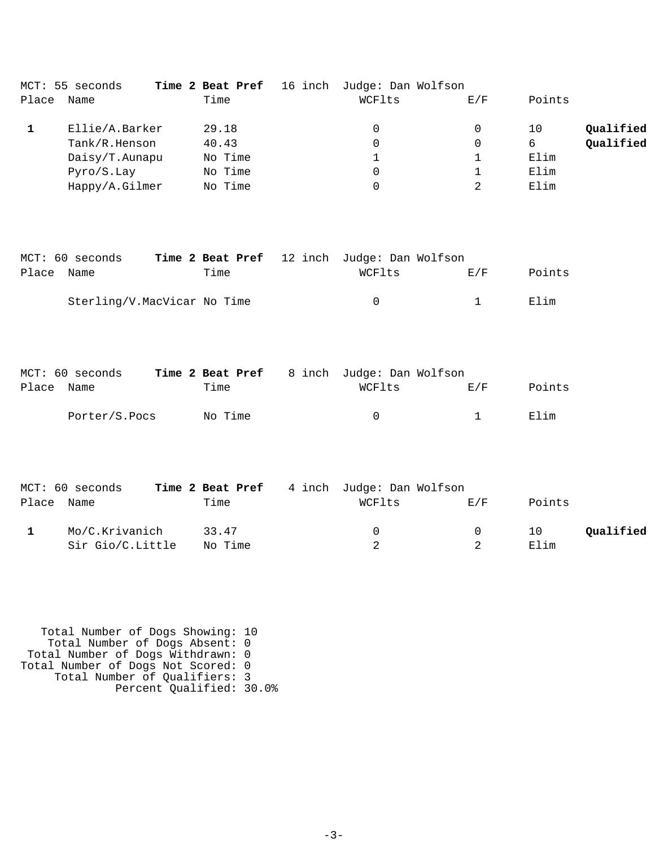|       | MCT: 55 seconds |         | Time 2 Beat Pref 16 inch Judge: Dan Wolfson |     |        |           |
|-------|-----------------|---------|---------------------------------------------|-----|--------|-----------|
| Place | Name            | Time    | WCFlts                                      | E/F | Points |           |
|       | Ellie/A.Barker  | 29.18   |                                             | 0   | 10     | Qualified |
|       | Tank/R.Henson   | 40.43   |                                             | 0   | 6      | Oualified |
|       | Daisy/T.Aunapu  | No Time |                                             |     | Elim   |           |
|       | Pyro/S.Lay      | No Time |                                             |     | Elim   |           |
|       | Happy/A.Gilmer  | No Time |                                             |     | Elim   |           |

|            | MCT: 60 seconds             |      | <b>Time 2 Beat Pref</b> 12 inch Judge: Dan Wolfson |                |        |
|------------|-----------------------------|------|----------------------------------------------------|----------------|--------|
| Place Name |                             | Time | WCFlts                                             | <b>EL/F</b>    | Points |
|            | Sterling/V.MacVicar No Time |      | $^{\circ}$                                         | $\overline{1}$ | Elim   |

|            | MCT: 60 seconds |         | <b>Time 2 Beat Pref</b> 8 inch Judge: Dan Wolfson |              |        |
|------------|-----------------|---------|---------------------------------------------------|--------------|--------|
| Place Name |                 | Time    | WCFlts                                            | <b>E</b> ./F | Points |
|            | Porter/S.Pocs   | No Time | $^{\circ}$                                        |              | Flim   |

|            | MCT: 60 seconds  | Time 2 Beat Pref | 4 inch Judge: Dan Wolfson |        |        |           |
|------------|------------------|------------------|---------------------------|--------|--------|-----------|
| Place Name |                  | Time             | WCFlts                    | F/K    | Points |           |
|            | Mo/C.Krivanich   | 33.47            | $\Omega$                  | $\cup$ | 10     | Oualified |
|            | Sir Gio/C.Little | No Time          |                           |        | Elim   |           |

 Total Number of Dogs Showing: 10 Total Number of Dogs Absent: 0 Total Number of Dogs Withdrawn: 0 Total Number of Dogs Not Scored: 0 Total Number of Qualifiers: 3 Percent Qualified: 30.0%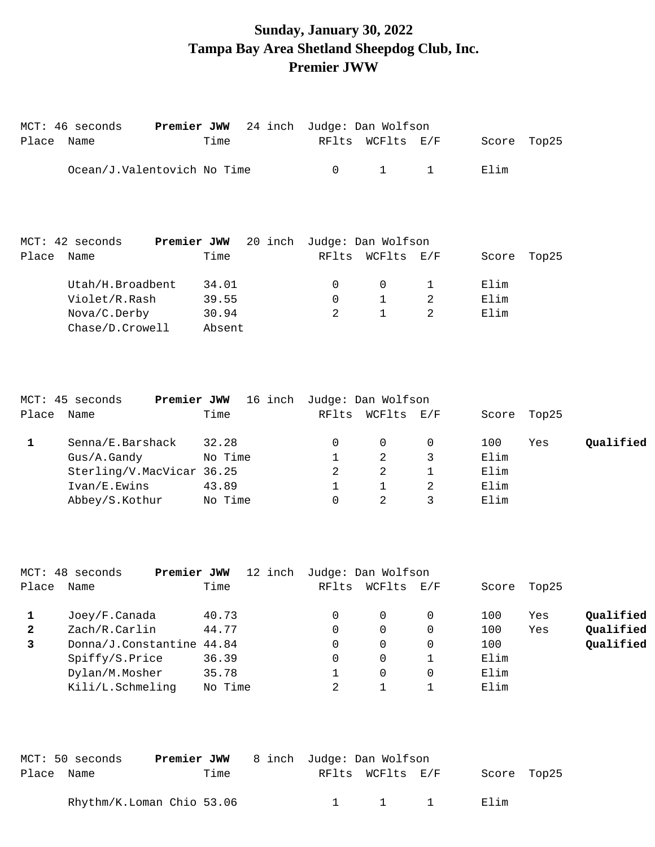### **Sunday, January 30, 2022 Tampa Bay Area Shetland Sheepdog Club, Inc. Premier JWW**

| Place | MCT: 46 seconds<br>Name     | Premier JWW 24 inch<br>Time | RFlts | Judge: Dan Wolfson<br>WCFlts | $\mathop{\rm E{}}\nolimits$ / $\mathop{\rm F{}}\nolimits$ | Score | Top25 |
|-------|-----------------------------|-----------------------------|-------|------------------------------|-----------------------------------------------------------|-------|-------|
|       | Ocean/J.Valentovich No Time |                             | 0     | $\mathbf 1$                  | 1                                                         | Elim  |       |
|       |                             |                             |       |                              |                                                           |       |       |
|       | $MCT: 42$ seconds           | Premier JWW 20 inch         |       | Judge: Dan Wolfson           |                                                           |       |       |
| Place | Name                        | Time                        | RFlts | WCFlts E/F                   |                                                           | Score | Top25 |

|       | MCT: 45 seconds<br>Premier JWW | 16 inch | Judge: Dan Wolfson |        |     |       |       |           |
|-------|--------------------------------|---------|--------------------|--------|-----|-------|-------|-----------|
| Place | Name                           | Time    | RFlts              | WCFlts | E/F | Score | Top25 |           |
|       | Senna/E.Barshack               | 32.28   |                    |        |     | 100   | Yes   | Qualified |
|       | $Gus/A$ . Gandy                | No Time |                    |        |     | Elim  |       |           |
|       | Sterling/V.MacVicar 36.25      |         |                    |        |     | Elim  |       |           |
|       | Ivan/E.Ewins                   | 43.89   |                    |        |     | Elim  |       |           |
|       | Abbey/S.Kothur                 | No Time |                    |        |     | Elim  |       |           |

|              | MCT: 48 seconds<br>Premier JWW | 12 inch | Judge: Dan Wolfson |          |     |       |       |           |
|--------------|--------------------------------|---------|--------------------|----------|-----|-------|-------|-----------|
| Place        | Name                           | Time    | RFlts              | WCFlts   | E/F | Score | Top25 |           |
|              | Joey/F.Canada                  | 40.73   |                    | $\Omega$ |     | 100   | Yes   | Qualified |
| $\mathbf{2}$ | Zach/R.Carlin                  | 44.77   | 0                  | $\Omega$ |     | 100   | Yes   | Qualified |
| 3            | Donna/J.Constantine 44.84      |         | 0                  | $\Omega$ |     | 100   |       | Qualified |
|              | Spiffy/S.Price                 | 36.39   | $\Omega$           | 0        |     | Elim  |       |           |
|              | Dylan/M.Mosher                 | 35.78   |                    | $\Omega$ |     | Elim  |       |           |
|              | Kili/L.Schmeling               | No Time |                    |          |     | Elim  |       |           |

|            | MCT: 50 seconds           |      | <b>Premier JWW</b> 8 inch Judge: Dan Wolfson |                     |             |  |
|------------|---------------------------|------|----------------------------------------------|---------------------|-------------|--|
| Place Name |                           | Time |                                              | RFlts WCFlts E/F    | Score Top25 |  |
|            | Rhythm/K.Loman Chio 53.06 |      |                                              | $1 \quad 1 \quad 1$ | F. lim      |  |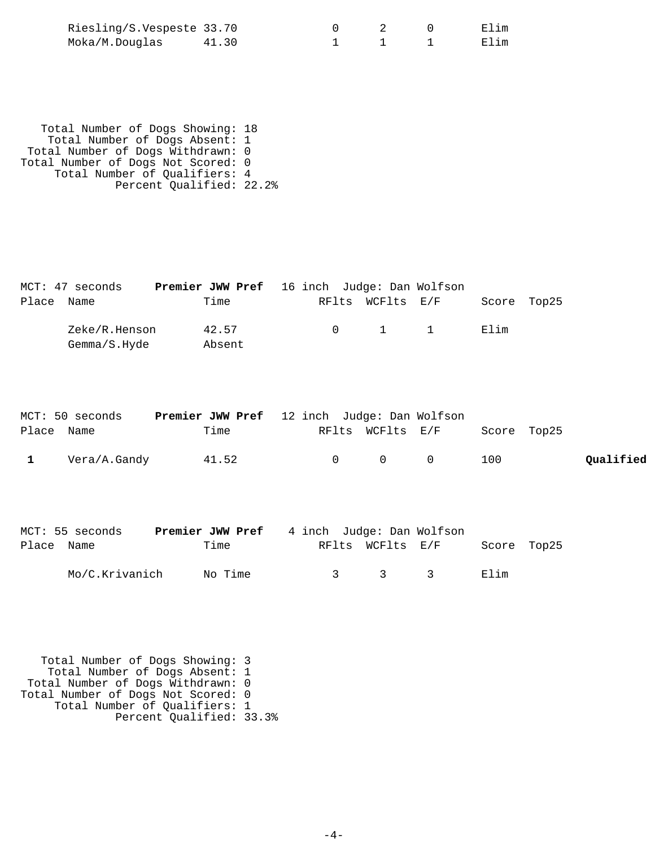| Riesling/S.Vespeste 33.70 |       |  | Elim |
|---------------------------|-------|--|------|
| Moka/M.Douglas            | 41.30 |  | Elim |

 Total Number of Dogs Showing: 18 Total Number of Dogs Absent: 1 Total Number of Dogs Withdrawn: 0 Total Number of Dogs Not Scored: 0 Total Number of Qualifiers: 4 Percent Qualified: 22.2%

|            | MCT: 47 seconds | <b>Premier JWW Pref</b> 16 inch Judge: Dan Wolfson |        |  |                                             |             |  |
|------------|-----------------|----------------------------------------------------|--------|--|---------------------------------------------|-------------|--|
| Place Name |                 |                                                    | Time   |  | RFlts WCFlts E/F                            | Score Top25 |  |
|            | Zeke/R.Henson   |                                                    | 42.57  |  | $\begin{array}{cccc} 0 & 1 & 1 \end{array}$ | F. lim      |  |
|            | Gemma/S.Hyde    |                                                    | Absent |  |                                             |             |  |

|            | MCT: 50 seconds | <b>Premier JWW Pref</b> 12 inch Judge: Dan Wolfson |                       |                   |                  |             |           |
|------------|-----------------|----------------------------------------------------|-----------------------|-------------------|------------------|-------------|-----------|
| Place Name |                 | Time                                               |                       |                   | RFlts WCFlts E/F | Score Top25 |           |
|            | Vera/A.Gandy    | 41.52                                              | $\Omega$ and $\Omega$ | $\Omega$ $\Omega$ |                  | 100         | Qualified |

|            | MCT: 55 seconds | <b>Premier JWW Pref</b> 4 inch Judge: Dan Wolfson |               |                         |                                               |             |  |
|------------|-----------------|---------------------------------------------------|---------------|-------------------------|-----------------------------------------------|-------------|--|
| Place Name |                 | Time                                              |               | RFlts WCFlts E/F        |                                               | Score Top25 |  |
|            | Mo/C.Krivanich  | No Time                                           | $\mathcal{R}$ | $\overline{\mathbf{3}}$ | $\mathcal{L}$ , $\mathcal{L}$ , $\mathcal{L}$ | Elim        |  |

 Total Number of Dogs Showing: 3 Total Number of Dogs Absent: 1 Total Number of Dogs Withdrawn: 0 Total Number of Dogs Not Scored: 0 Total Number of Qualifiers: 1 Percent Qualified: 33.3%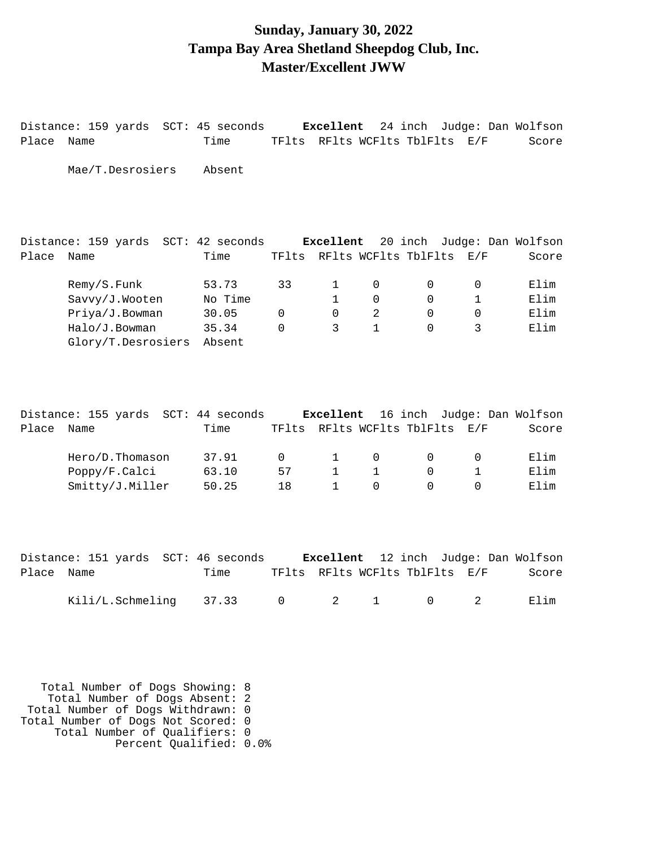#### **Sunday, January 30, 2022 Tampa Bay Area Shetland Sheepdog Club, Inc. Master/Excellent JWW**

Distance: 159 yards SCT: 45 seconds **Excellent** 24 inch Judge: Dan Wolfson Place Name Time TFlts RFlts WCFlts TblFlts E/F Score Mae/T.Desrosiers Absent Distance: 159 yards SCT: 42 seconds **Excellent** 20 inch Judge: Dan Wolfson Place Name Time TFlts RFlts WCFlts TblFlts E/F Score Remy/S.Funk 53.73 33 1 0 0 0 Elim Savvy/J.Wooten No Time 1 0 0 1 Elim Priya/J.Bowman 30.05 0 0 2 0 0 Elim Halo/J.Bowman 35.34 0 3 1 0 3 Elim Glory/T.Desrosiers Absent Distance: 155 yards SCT: 44 seconds **Excellent** 16 inch Judge: Dan Wolfson Place Name Time TFlts RFlts WCFlts TblFlts E/F Score Hero/D.Thomason 37.91 0 1 0 0 0 Elim Poppy/F.Calci 63.10 57 1 1 0 1 Elim Smitty/J.Miller 50.25 18 1 0 0 0 Elim Distance: 151 yards SCT: 46 seconds **Excellent** 12 inch Judge: Dan Wolfson

|            | pistance. Iji yatus "Sci. It seconus" |      |  |  |                                | <b>EACELIENC</b> IS INCH UGGGE. DAN WOILSON |
|------------|---------------------------------------|------|--|--|--------------------------------|---------------------------------------------|
| Place Name |                                       | Time |  |  | TFlts RFlts WCFlts TblFlts E/F | Score                                       |
|            | Kili/L.Schmeling 37.33 0 2 1 0 2 Elim |      |  |  |                                |                                             |

 Total Number of Dogs Showing: 8 Total Number of Dogs Absent: 2 Total Number of Dogs Withdrawn: 0 Total Number of Dogs Not Scored: 0 Total Number of Qualifiers: 0 Percent Qualified: 0.0%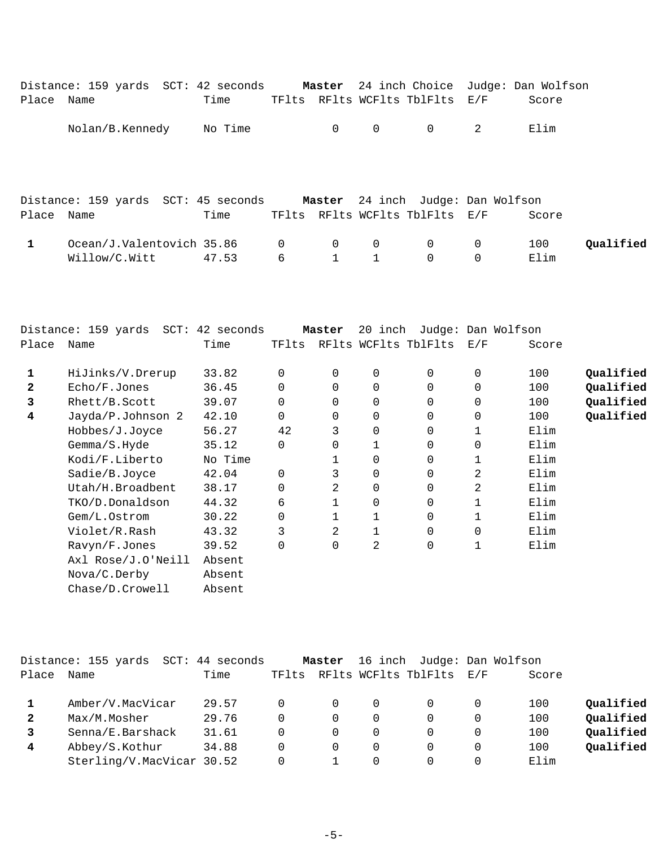|              | Distance: 159 yards SCT: 42 seconds Master 24 inch Choice Judge: Dan Wolfson |         |   |                                                    |                |                                |             |       |           |
|--------------|------------------------------------------------------------------------------|---------|---|----------------------------------------------------|----------------|--------------------------------|-------------|-------|-----------|
| Place Name   |                                                                              | Time    |   |                                                    |                | TFlts RFlts WCFlts TblFlts E/F |             | Score |           |
|              | Nolan/B.Kennedy                                                              | No Time |   | 0                                                  | $\overline{0}$ | $\overline{0}$                 | -2          | Elim  |           |
|              | Distance: 159 yards SCT: 45 seconds Master 24 inch Judge: Dan Wolfson        |         |   |                                                    |                |                                |             |       |           |
| Place Name   |                                                                              | Time    |   |                                                    |                | TFlts RFlts WCFlts TblFlts E/F |             | Score |           |
| $\mathbf{1}$ | Ocean/J.Valentovich 35.86 0                                                  |         |   | $\begin{array}{ccc} & & 0 & \quad & 0 \end{array}$ |                | $\overline{0}$ 0               |             | 100   | Qualified |
|              | Willow/C.Witt 47.53                                                          |         | 6 |                                                    | $1 \quad 1$    | $\mathsf{O}$                   | $\mathbf 0$ | Elim  |           |

|              | $SCT$ :<br>Distance: 159 yards | 42 seconds |       | Master   | 20<br>inch           | Judge:      |     | Dan Wolfson |           |
|--------------|--------------------------------|------------|-------|----------|----------------------|-------------|-----|-------------|-----------|
| Place        | Name                           | Time       | TFlts |          | RFlts WCFlts TblFlts |             | E/F | Score       |           |
| 1            | HiJinks/V.Drerup               | 33.82      | 0     | 0        | 0                    | 0           | 0   | 100         | Qualified |
| $\mathbf{2}$ | Echo/F.Jones                   | 36.45      | 0     | $\Omega$ | 0                    | 0           | 0   | 100         | Qualified |
| 3            | Rhett/B.Scott                  | 39.07      | 0     | $\Omega$ | 0                    | 0           | 0   | 100         | Qualified |
| 4            | Jayda/P.Johnson 2              | 42.10      | 0     | 0        | 0                    | 0           | 0   | 100         | Qualified |
|              | Hobbes/J.Joyce                 | 56.27      | 42    | 3        | 0                    | 0           |     | Elim        |           |
|              | Gemma/S.Hyde                   | 35.12      | 0     | $\Omega$ |                      | 0           | 0   | Elim        |           |
|              | Kodi/F.Liberto                 | No Time    |       |          | 0                    | 0           |     | Elim        |           |
|              | Sadie/B.Joyce                  | 42.04      | 0     | 3        | 0                    | 0           | 2   | Elim        |           |
|              | Utah/H.Broadbent               | 38.17      | 0     | 2        | 0                    | 0           | 2   | Elim        |           |
|              | TKO/D.Donaldson                | 44.32      | 6     |          | 0                    | 0           |     | Elim        |           |
|              | Gem/L.Ostrom                   | 30.22      | 0     |          |                      | 0           |     | Elim        |           |
|              | Violet/R.Rash                  | 43.32      | 3     | 2        |                      | $\mathbf 0$ | 0   | Elim        |           |
|              | Ravyn/F.Jones                  | 39.52      | 0     | $\Omega$ | $\overline{a}$       | $\mathbf 0$ | 1   | Elim        |           |
|              | Axl Rose/J.O'Neill             | Absent     |       |          |                      |             |     |             |           |
|              | Nova/C.Derby                   | Absent     |       |          |                      |             |     |             |           |
|              | Chase/D.Crowell                | Absent     |       |          |                      |             |     |             |           |

|              | Distance: 155 yards       | $SCT: 44$ seconds |          | Master   | 16 inch  |                      |          | Judge: Dan Wolfson |           |
|--------------|---------------------------|-------------------|----------|----------|----------|----------------------|----------|--------------------|-----------|
| Place        | Name                      | Time              | TFlts    |          |          | RFlts WCFlts TblFlts | E/F      | Score              |           |
|              | Amber/V.MacVicar          | 29.57             | 0        | $\Omega$ | $\Omega$ |                      | 0        | 100                | Qualified |
| $\mathbf{2}$ | Max/M.Mosher              | 29.76             | $\Omega$ | $\Omega$ | $\Omega$ | $\Omega$             | 0        | 100                | Qualified |
| 3            | Senna/E.Barshack          | 31.61             | $\Omega$ | $\Omega$ | $\Omega$ | $\Omega$             | $\Omega$ | 100                | Qualified |
| 4            | Abbey/S.Kothur            | 34.88             | 0        | $\Omega$ | $\Omega$ | $\Omega$             | $\Omega$ | 100                | Qualified |
|              | Sterling/V.MacVicar 30.52 |                   | 0        |          | 0        | $\Omega$             | 0        | Elim               |           |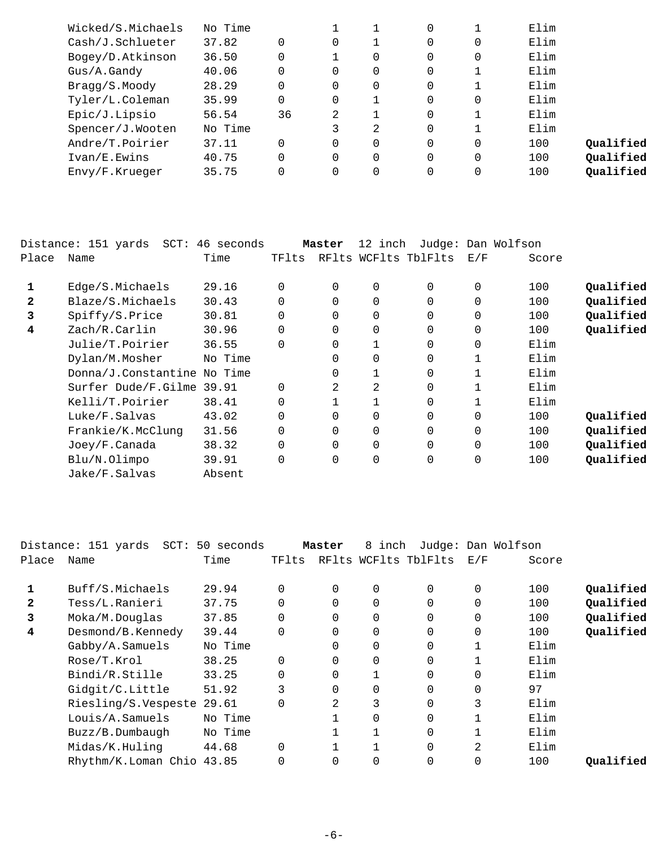| Wicked/S.Michaels | No Time |    |          |          | 0        |          | Elim |           |
|-------------------|---------|----|----------|----------|----------|----------|------|-----------|
| Cash/J.Schlueter  | 37.82   |    | $\Omega$ |          | 0        | $\Omega$ | Elim |           |
| Bogey/D.Atkinson  | 36.50   |    |          | 0        | 0        | 0        | Elim |           |
| Gus/A.Gandy       | 40.06   |    | 0        | 0        | 0        |          | Elim |           |
| Bragg/S.Moody     | 28.29   |    | 0        | 0        | 0        |          | Elim |           |
| Tyler/L.Coleman   | 35.99   |    | 0        |          | $\Omega$ | 0        | Elim |           |
| Epic/J.Lipsio     | 56.54   | 36 | 2        |          | $\Omega$ |          | Elim |           |
| Spencer/J.Wooten  | No Time |    | 3        | 2        | $\Omega$ |          | Elim |           |
| Andre/T.Poirier   | 37.11   |    | 0        | 0        | $\Omega$ | 0        | 100  | Qualified |
| Ivan/E.Ewins      | 40.75   |    | 0        | $\Omega$ | $\Omega$ | $\Omega$ | 100  | Qualified |
| Envy/F.Krueger    | 35.75   |    | 0        | 0        | $\Omega$ | $\Omega$ | 100  | Qualified |
|                   |         |    |          |          |          |          |      |           |

|              | $SCT$ :<br>Distance: 151 yards | 46 seconds |          | Master         | 12 inch     |                      |              | Judge: Dan Wolfson |           |
|--------------|--------------------------------|------------|----------|----------------|-------------|----------------------|--------------|--------------------|-----------|
| Place        | Name                           | Time       | TFlts    |                |             | RFlts WCFlts TblFlts | E/F          | Score              |           |
| 1            | Edge/S.Michaels                | 29.16      | $\Omega$ | $\Omega$       | $\Omega$    | $\Omega$             | $\Omega$     | 100                | Qualified |
| $\mathbf{z}$ | Blaze/S.Michaels               | 30.43      |          | 0              | $\Omega$    | $\Omega$             | 0            | 100                | Qualified |
| 3            | Spiffy/S.Price                 | 30.81      | $\Omega$ | $\Omega$       | 0           | $\Omega$             | 0            | 100                | Qualified |
| 4            | Zach/R.Carlin                  | 30.96      |          | 0              | 0           | $\Omega$             | 0            | 100                | Qualified |
|              | Julie/T.Poirier                | 36.55      | $\Omega$ | $\Omega$       |             | $\Omega$             | 0            | Elim               |           |
|              | Dylan/M.Mosher                 | No Time    |          | $\Omega$       | $\Omega$    | $\Omega$             |              | Elim               |           |
|              | Donna/J.Constantine No Time    |            |          | $\Omega$       |             | $\Omega$             | 1            | Elim               |           |
|              | Surfer Dude/F.Gilme 39.91      |            |          | $\mathfrak{D}$ | 2           | $\Omega$             |              | Elim               |           |
|              | Kelli/T.Poirier                | 38.41      |          |                | 1           | $\Omega$             | $\mathbf{1}$ | Elim               |           |
|              | Luke/F.Salvas                  | 43.02      |          | 0              | $\Omega$    | $\Omega$             | 0            | 100                | Qualified |
|              | Frankie/K.McClung              | 31.56      | $\Omega$ | $\Omega$       | $\Omega$    | $\Omega$             | $\mathbf 0$  | 100                | Qualified |
|              | Joey/F.Canada                  | 38.32      |          | $\Omega$       | $\Omega$    | $\Omega$             | $\Omega$     | 100                | Qualified |
|              | Blu/N.Olimpo                   | 39.91      | $\Omega$ | 0              | $\mathbf 0$ | 0                    | 0            | 100                | Qualified |
|              | Jake/F.Salvas                  | Absent     |          |                |             |                      |              |                    |           |

|       | Distance: 151 yards<br>$SCT$ : | 50 seconds |          | Master   | inch<br>8 |                      |          | Judge: Dan Wolfson |           |
|-------|--------------------------------|------------|----------|----------|-----------|----------------------|----------|--------------------|-----------|
| Place | Name                           | Time       | TFlts    |          |           | RFlts WCFlts TblFlts | E/F      | Score              |           |
|       | Buff/S.Michaels                | 29.94      | 0        | 0        | $\Omega$  | $\Omega$             | 0        | 100                | Qualified |
| 2     | Tess/L.Ranieri                 | 37.75      | $\Omega$ | $\Omega$ | $\Omega$  | $\Omega$             | $\Omega$ | 100                | Qualified |
| 3     | Moka/M.Douglas                 | 37.85      | $\Omega$ |          | 0         | 0                    |          | 100                | Qualified |
| 4     | Desmond/B.Kennedy              | 39.44      | $\Omega$ | 0        | $\Omega$  | $\Omega$             | $\Omega$ | 100                | Qualified |
|       | Gabby/A.Samuels                | No Time    |          |          | $\Omega$  | $\Omega$             |          | Elim               |           |
|       | Rose/T.Krol                    | 38.25      | $\Omega$ | 0        | $\Omega$  | $\Omega$             | 1        | Elim               |           |
|       | Bindi/R.Stille                 | 33.25      | $\Omega$ | 0        |           | $\Omega$             | $\Omega$ | Elim               |           |
|       | Gidgit/C.Little                | 51.92      | 3        |          | $\Omega$  | $\Omega$             |          | 97                 |           |
|       | Riesling/S.Vespeste            | 29.61      | $\Omega$ | 2        | 3         | $\Omega$             | 3        | Elim               |           |
|       | Louis/A.Samuels                | No Time    |          |          | $\Omega$  | $\Omega$             |          | Elim               |           |
|       | Buzz/B.Dumbaugh                | No Time    |          |          |           | $\Omega$             |          | Elim               |           |
|       | Midas/K.Huling                 | 44.68      | $\Omega$ |          |           | $\Omega$             | 2        | Elim               |           |
|       | Rhythm/K.Loman Chio 43.85      |            |          | 0        | 0         | $\Omega$             |          | 100                | Qualified |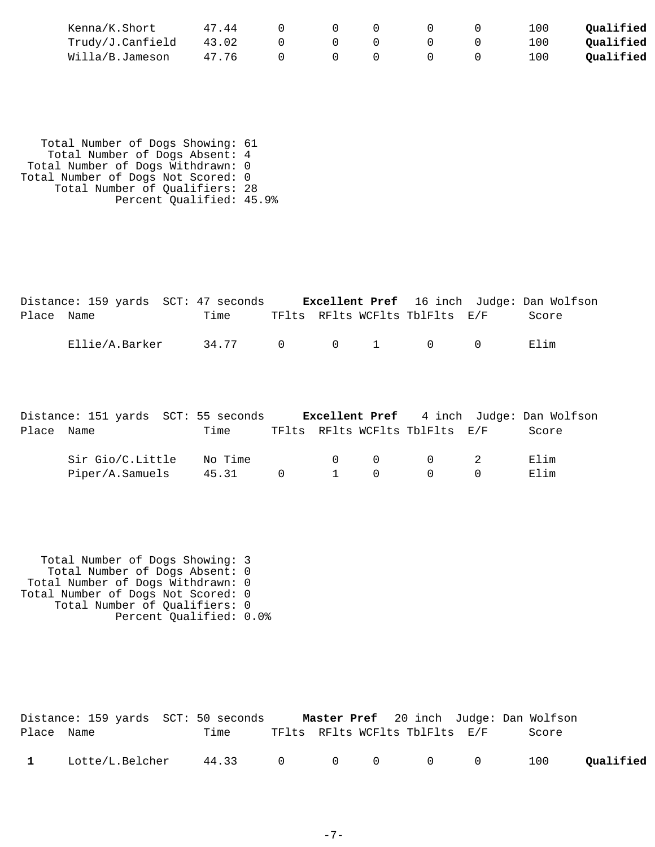| Kenna/K.Short    | 47.44 |  |  | 100 | Oualified |
|------------------|-------|--|--|-----|-----------|
| Trudy/J.Canfield | 43.02 |  |  | 100 | Qualified |
| Willa/B.Jameson  | 47.76 |  |  | 100 | Oualified |

 Total Number of Dogs Showing: 61 Total Number of Dogs Absent: 4 Total Number of Dogs Withdrawn: 0 Total Number of Dogs Not Scored: 0 Total Number of Qualifiers: 28 Percent Qualified: 45.9%

|            | Distance: 159 yards SCT: 47 seconds |       |           |  |                                              | <b>Excellent Pref</b> 16 inch Judge: Dan Wolfson |  |
|------------|-------------------------------------|-------|-----------|--|----------------------------------------------|--------------------------------------------------|--|
| Place Name |                                     | Time  |           |  | TFlts RFlts WCFlts TblFlts E/F               | Score                                            |  |
|            | Ellie/A.Barker                      | 34.77 | $\bigcap$ |  | $0 \qquad 1 \qquad \qquad 0 \qquad \qquad 0$ | Elim                                             |  |

|            | Distance: 151 yards SCT: 55 seconds |         |  |                                             |        | <b>Excellent Pref</b> 4 inch Judge: Dan Wolfson |
|------------|-------------------------------------|---------|--|---------------------------------------------|--------|-------------------------------------------------|
| Place Name |                                     | Time    |  | TFlts RFlts WCFlts TblFlts E/F              |        | Score                                           |
|            | Sir Gio/C.Little                    | No Time |  | $\begin{matrix} 0 & 0 & 0 & 2 \end{matrix}$ |        | Elim                                            |
|            | Piper/A.Samuels                     | 45.31   |  | $0 \qquad 1 \qquad 0 \qquad 0$              | $\cap$ | Elim                                            |

 Total Number of Dogs Showing: 3 Total Number of Dogs Absent: 0 Total Number of Dogs Withdrawn: 0 Total Number of Dogs Not Scored: 0 Total Number of Qualifiers: 0 Percent Qualified: 0.0%

|              |                 | Distance: 159 yards SCT: 50 seconds |  |                                |  | Master Pref 20 inch Judge: Dan Wolfson |           |
|--------------|-----------------|-------------------------------------|--|--------------------------------|--|----------------------------------------|-----------|
| Place Name   |                 | Time                                |  | TFlts RFlts WCFlts TblFlts E/F |  | Score                                  |           |
| $\mathbf{1}$ | Lotte/L.Belcher | 44.33 0 0 0 0 0                     |  |                                |  | 100                                    | Qualified |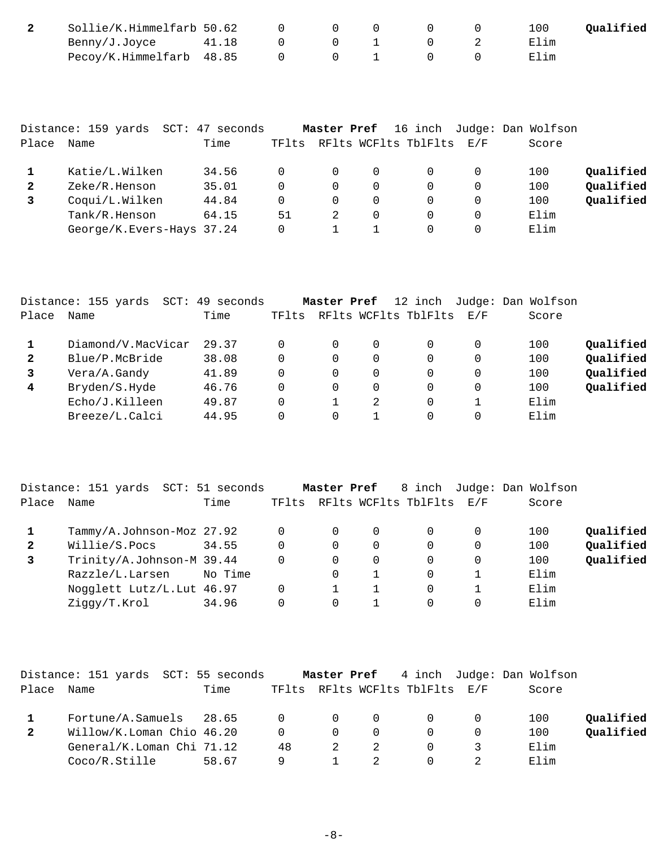| Sollie/K.Himmelfarb 50.62  |       |  |  | 100  | Oualified |
|----------------------------|-------|--|--|------|-----------|
| Benny/J.Joyce              | 41.18 |  |  | Elim |           |
| Pecoy/K.Himmelfarb 48.85 0 |       |  |  | Elim |           |

|              | Distance: 159 yards<br>$SCT$ : | 47<br>seconds |       | Master Pref |          | 16 inch              |                   | Judge: Dan Wolfson |           |
|--------------|--------------------------------|---------------|-------|-------------|----------|----------------------|-------------------|--------------------|-----------|
| Place        | Name                           | Time          | TFlts |             |          | RFlts WCFlts TblFlts | $\rm E$ / $\rm F$ | Score              |           |
|              | Katie/L.Wilken                 | 34.56         |       | 0           | $\Omega$ |                      | 0                 | 100                | Qualified |
| $\mathbf{2}$ | Zeke/R.Henson                  | 35.01         |       | 0           | 0        |                      | 0                 | 100                | Qualified |
|              | Coqui/L.Wilken                 | 44.84         |       | $\Omega$    | $\Omega$ |                      | 0                 | 100                | Qualified |
|              | Tank/R.Henson                  | 64.15         | 51    |             | $\Omega$ |                      | 0                 | Elim               |           |
|              | George/K.Evers-Hays 37.24      |               |       |             |          |                      | 0                 | Elim               |           |

|                | Distance: 155 yards<br>SCT: | 49 seconds |       | Master Pref |   | 12 inch              |          | Judge: Dan Wolfson |           |
|----------------|-----------------------------|------------|-------|-------------|---|----------------------|----------|--------------------|-----------|
| Place          | Name                        | Time       | TFlts |             |   | RFlts WCFlts TblFlts | E/F      | Score              |           |
|                | Diamond/V.MacVicar          | 29.37      |       | 0           | 0 |                      | 0        | 100                | Qualified |
| $\mathbf{2}$   | Blue/P.McBride              | 38.08      |       | $\Omega$    | 0 |                      | $\Omega$ | 100                | Qualified |
| 3              | Vera/A.Gandy                | 41.89      |       | $\Omega$    | 0 |                      | $\Omega$ | 100                | Qualified |
| $\overline{4}$ | Bryden/S.Hyde               | 46.76      |       | 0           | 0 | 0                    | $\Omega$ | 100                | Qualified |
|                | Echo/J.Killeen              | 49.87      |       |             | 2 |                      |          | Elim               |           |
|                | Breeze/L.Calci              | 44.95      |       | 0           |   |                      | 0        | Elim               |           |

|              | Distance: 151 yards SCT: 51 seconds |         |       | Master Pref |   | 8 inch                   |   | Judge: Dan Wolfson |           |
|--------------|-------------------------------------|---------|-------|-------------|---|--------------------------|---|--------------------|-----------|
| Place        | Name                                | Time    | TFlts |             |   | RFlts WCFlts TblFlts E/F |   | Score              |           |
|              | Tammy/A.Johnson-Moz 27.92           |         |       | $\Omega$    | 0 |                          | 0 | 100                | Qualified |
| $\mathbf{2}$ | Willie/S.Pocs                       | 34.55   | 0     | $\Omega$    | 0 | $\Omega$                 | 0 | 100                | Qualified |
|              | Trinity/A.Johnson-M 39.44           |         |       | $\Omega$    | 0 | $\Omega$                 | 0 | 100                | Qualified |
|              | Razzle/L.Larsen                     | No Time |       | $\Omega$    |   | 0                        |   | Elim               |           |
|              | Nogglett Lutz/L. Lut 46.97          |         | 0     |             |   | $\Omega$                 |   | Elim               |           |
|              | Ziqqy/T.Krol                        | 34.96   |       | $\Omega$    |   | 0                        | 0 | Elim               |           |

|       | Distance: 151 yards SCT: 55 seconds |       |    |          |          |                                |     | Master Pref 4 inch Judge: Dan Wolfson |           |
|-------|-------------------------------------|-------|----|----------|----------|--------------------------------|-----|---------------------------------------|-----------|
| Place | Name                                | Time  |    |          |          | TFlts RFlts WCFlts TblFlts E/F |     | Score                                 |           |
|       | Fortune/A.Samuels 28.65 0 0         |       |    |          | $\Omega$ | $\Omega$                       | - 0 | 100                                   | Qualified |
|       | Willow/K.Loman Chio 46.20           |       |    | $\Omega$ | $\Omega$ |                                | 0   | 100                                   | Oualified |
|       | General/K.Loman Chi 71.12           |       | 48 |          |          | $\Omega$                       |     | Elim                                  |           |
|       | Coco/R.Stille                       | 58.67 |    |          |          |                                |     | Elim                                  |           |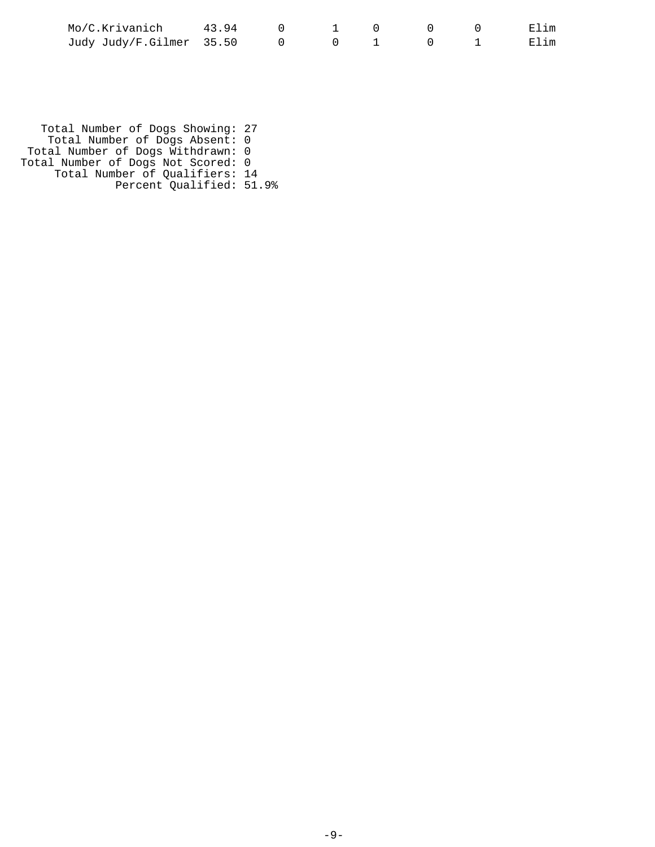| Mo/C.Krivanich           | 4394 |  |  |      |
|--------------------------|------|--|--|------|
| Judy Judy/F.Gilmer 35.50 |      |  |  | 田]im |

 Total Number of Dogs Showing: 27 Total Number of Dogs Absent: 0 Total Number of Dogs Withdrawn: 0 Total Number of Dogs Not Scored: 0 Total Number of Qualifiers: 14 Percent Qualified: 51.9%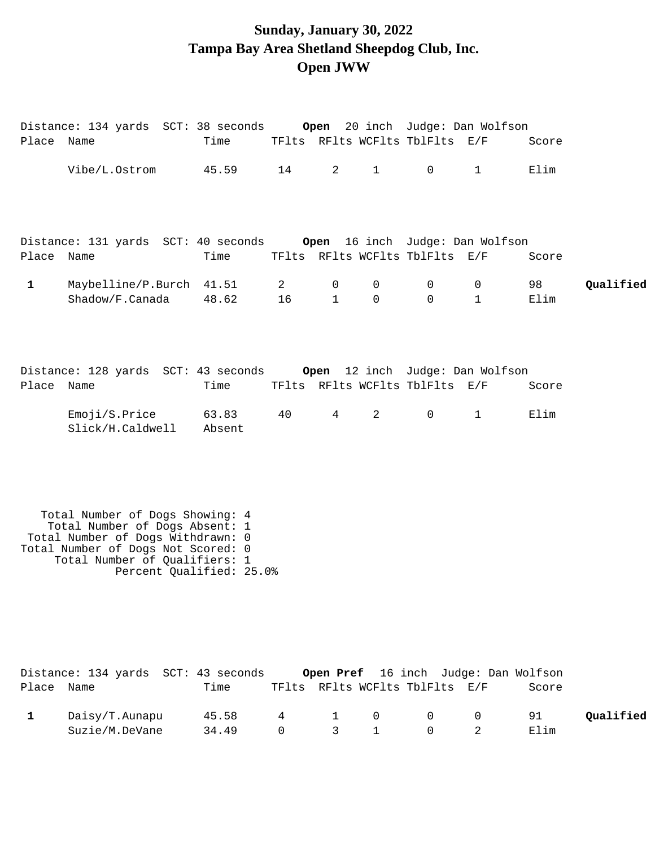### **Sunday, January 30, 2022 Tampa Bay Area Shetland Sheepdog Club, Inc. Open JWW**

Distance: 134 yards SCT: 38 seconds **Open** 20 inch Judge: Dan Wolfson Place Name Time TFlts RFlts WCFlts TblFlts E/F Score

|              | Vibe/L.Ostrom                                                                                                                                                                                             | 45.59           | 14                   | $2 \left( \frac{1}{2} \right)$ | $1 \quad \blacksquare$ | $\overline{0}$                 | $1 \quad$                            | Elim       |           |
|--------------|-----------------------------------------------------------------------------------------------------------------------------------------------------------------------------------------------------------|-----------------|----------------------|--------------------------------|------------------------|--------------------------------|--------------------------------------|------------|-----------|
| Place Name   | Distance: 131 yards SCT: 40 seconds                                                                                                                                                                       | Time            |                      |                                |                        | TFlts RFlts WCFlts TblFlts E/F | Open 16 inch Judge: Dan Wolfson      | Score      |           |
| $\mathbf{1}$ | Maybelline/P.Burch<br>Shadow/F.Canada                                                                                                                                                                     | 41.51<br>48.62  | $\overline{2}$<br>16 | 0<br>$\mathbf{1}$              | 0<br>$\Omega$          | 0<br>$\Omega$                  | $\mathbf 0$<br>$\mathbf{1}$          | 98<br>Elim | Qualified |
| Place Name   | Distance: 128 yards SCT: 43 seconds Open 12 inch Judge: Dan Wolfson                                                                                                                                       | Time            |                      |                                |                        | TFlts RFlts WCFlts TblFlts E/F |                                      | Score      |           |
|              | Emoji/S.Price<br>Slick/H.Caldwell                                                                                                                                                                         | 63.83<br>Absent | 40                   | 4                              | $\overline{2}$         | $\mathsf{O}$                   | $\mathbf{1}$                         | Elim       |           |
|              | Total Number of Dogs Showing: 4<br>Total Number of Dogs Absent: 1<br>Total Number of Dogs Withdrawn: 0<br>Total Number of Dogs Not Scored: 0<br>Total Number of Qualifiers: 1<br>Percent Qualified: 25.0% |                 |                      |                                |                        |                                |                                      |            |           |
| Place Name   | Distance: 134 yards SCT: 43 seconds                                                                                                                                                                       | Time            |                      |                                |                        | TFlts RFlts WCFlts TblFlts E/F | Open Pref 16 inch Judge: Dan Wolfson | Score      |           |
| $\mathbf{1}$ | Daisy/T.Aunapu<br>Suzie/M.DeVane                                                                                                                                                                          | 45.58<br>34.49  | 4<br>0               | 1<br>3                         | 0<br>$\mathbf{1}$      | 0<br>$\Omega$                  | $\mathbf 0$<br>2                     | 91<br>Elim | Qualified |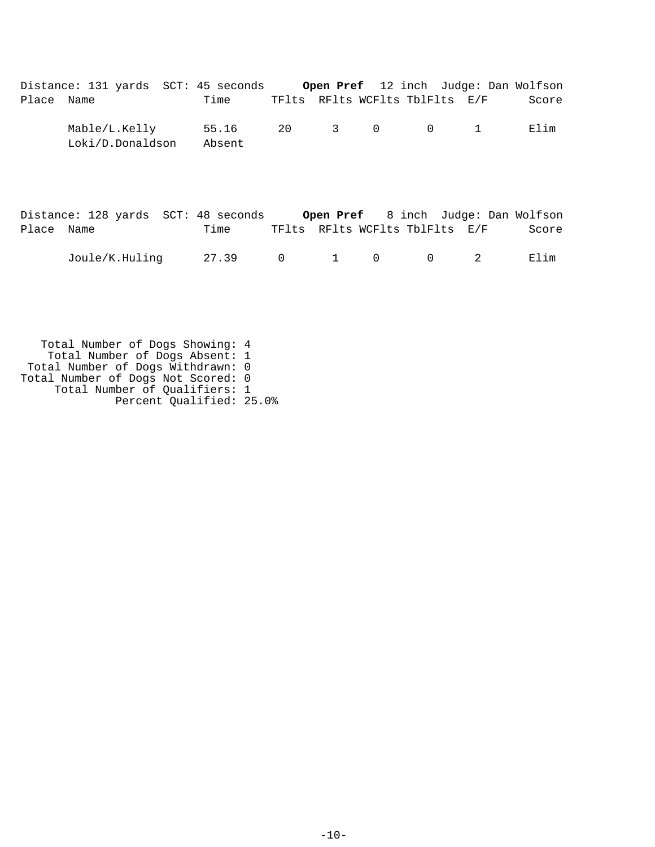|            | Distance: 131 yards SCT: 45 seconds |                 |  |  |                                | Open Pref 12 inch Judge: Dan Wolfson |
|------------|-------------------------------------|-----------------|--|--|--------------------------------|--------------------------------------|
| Place Name |                                     | Time            |  |  | TFlts RFlts WCFlts TblFlts E/F | Score                                |
|            | Mable/L.Kelly<br>Loki/D.Donaldson   | 55.16<br>Absent |  |  | 20 3 0 0 1                     | Filim                                |

|            | Distance: 128 yards SCT: 48 seconds |                 |  |  |                                | Open Pref 8 inch Judge: Dan Wolfson |
|------------|-------------------------------------|-----------------|--|--|--------------------------------|-------------------------------------|
| Place Name |                                     | Time            |  |  | TFlts RFlts WCFlts TblFlts E/F | Score                               |
|            | Joule/K.Huling                      | 27.39 0 1 0 0 2 |  |  |                                | Elim                                |

 Total Number of Dogs Showing: 4 Total Number of Dogs Absent: 1 Total Number of Dogs Withdrawn: 0 Total Number of Dogs Not Scored: 0 Total Number of Qualifiers: 1 Percent Qualified: 25.0%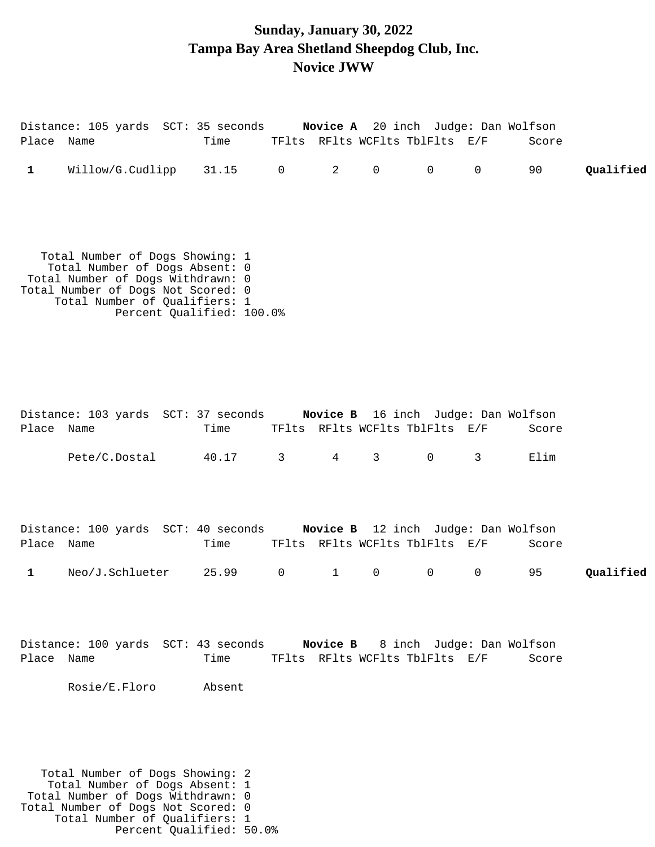### **Sunday, January 30, 2022 Tampa Bay Area Shetland Sheepdog Club, Inc. Novice JWW**

| Place Name   | Distance: 105 yards SCT: 35 seconds Novice A 20 inch Judge: Dan Wolfson                                                                                                       | Time                      |              |              |                | TFlts RFlts WCFlts TblFlts E/F |             | Score |           |
|--------------|-------------------------------------------------------------------------------------------------------------------------------------------------------------------------------|---------------------------|--------------|--------------|----------------|--------------------------------|-------------|-------|-----------|
| $\mathbf{1}$ | Willow/G.Cudlipp 31.15 0 2                                                                                                                                                    |                           |              |              | 0              | $\overline{0}$                 | $\mathbf 0$ | 90    | Qualified |
|              | Total Number of Dogs Showing: 1<br>Total Number of Dogs Absent: 0<br>Total Number of Dogs Withdrawn: 0<br>Total Number of Dogs Not Scored: 0<br>Total Number of Qualifiers: 1 | Percent Qualified: 100.0% |              |              |                |                                |             |       |           |
| Place Name   | Distance: 103 yards SCT: 37 seconds Novice B 16 inch Judge: Dan Wolfson                                                                                                       | Time                      |              |              |                | TFlts RFlts WCFlts TblFlts E/F |             | Score |           |
|              | Pete/C.Dostal                                                                                                                                                                 | 40.17                     | $\mathbf{3}$ | $4\degree$   | 3 <sup>7</sup> | $\overline{0}$                 | 3           | Elim  |           |
| Place Name   | Distance: 100 yards SCT: 40 seconds Novice B 12 inch Judge: Dan Wolfson                                                                                                       | Time                      |              |              |                | TFlts RFlts WCFlts TblFlts E/F |             | Score |           |
| $\mathbf{1}$ | Neo/J.Schlueter                                                                                                                                                               | 25.99                     | 0            | $\mathbf{1}$ | $\mathsf{O}$   | $\mathbf 0$                    | 0           | 95    | Qualified |
|              | Distance: 100 yards SCT: 43 seconds Novice B 8 inch Judge: Dan Wolfson                                                                                                        |                           |              |              |                |                                |             |       |           |
| Place Name   | Rosie/E.Floro                                                                                                                                                                 | Time<br>Absent            |              |              |                | TFlts RFlts WCFlts TblFlts E/F |             | Score |           |

 Total Number of Dogs Showing: 2 Total Number of Dogs Absent: 1 Total Number of Dogs Withdrawn: 0 Total Number of Dogs Not Scored: 0 Total Number of Qualifiers: 1 Percent Qualified: 50.0%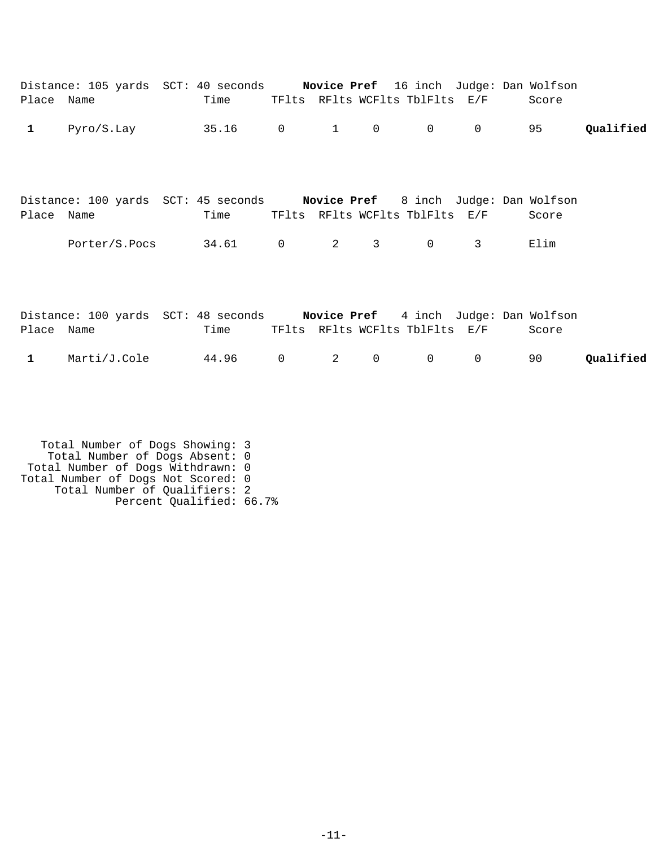| Place Name   | Distance: 105 yards SCT: 40 seconds Novice Pref 16 inch Judge: Dan Wolfson | Time |                         |              | TFlts RFlts WCFlts TblFlts E/F |             | Score |           |
|--------------|----------------------------------------------------------------------------|------|-------------------------|--------------|--------------------------------|-------------|-------|-----------|
| $\mathbf 1$  | $Pyro/S.Lay$ 35.16 0                                                       |      | $\mathbf{1}$            | $\mathsf{O}$ | $\overline{0}$                 | $\mathbf 0$ | 95    | Qualified |
| Place Name   | Distance: 100 yards SCT: 45 seconds Novice Pref 8 inch Judge: Dan Wolfson  | Time |                         |              | TFlts RFlts WCFlts TblFlts E/F |             | Score |           |
|              | Porter/S.Pocs 34.61 0                                                      |      | $\overline{\mathbf{2}}$ | $\mathsf{3}$ | $\overline{0}$                 | 3           | Elim  |           |
| Place Name   | Distance: 100 yards SCT: 48 seconds Novice Pref 4 inch Judge: Dan Wolfson  | Time |                         |              | TFlts RFlts WCFlts TblFlts E/F |             | Score |           |
| $\mathbf{1}$ | $\text{Marti}/\text{J}. \text{Cole}$ 44.96 0                               |      | $\overline{2}$          | 0            | $\mathbf 0$                    | $\mathbf 0$ | 90    | Qualified |

 Total Number of Dogs Showing: 3 Total Number of Dogs Absent: 0 Total Number of Dogs Withdrawn: 0 Total Number of Dogs Not Scored: 0 Total Number of Qualifiers: 2 Percent Qualified: 66.7%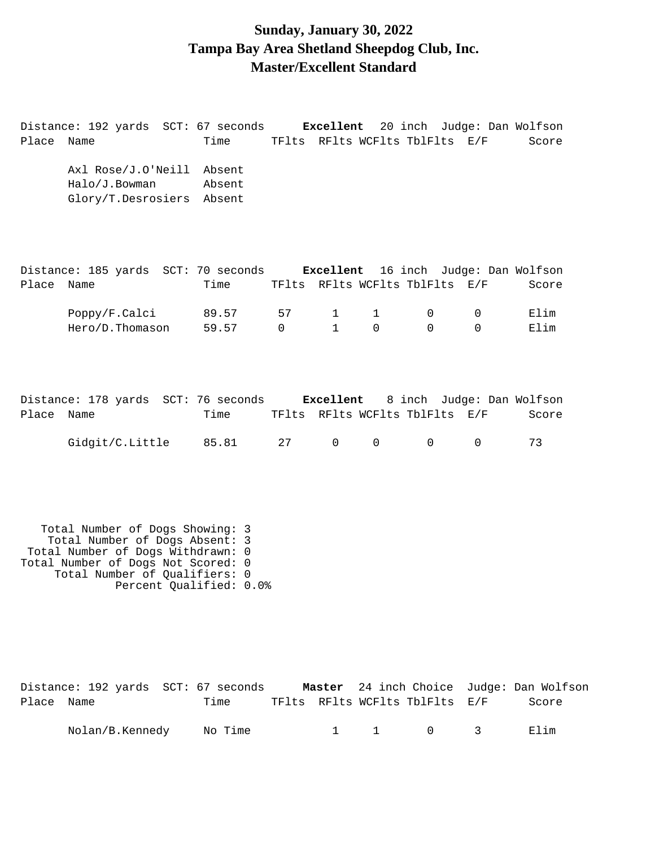#### **Sunday, January 30, 2022 Tampa Bay Area Shetland Sheepdog Club, Inc. Master/Excellent Standard**

Distance: 192 yards SCT: 67 seconds **Excellent** 20 inch Judge: Dan Wolfson Place Name Time TFlts RFlts WCFlts TblFlts E/F Score Axl Rose/J.O'Neill Absent Halo/J.Bowman Absent Glory/T.Desrosiers Absent Distance: 185 yards SCT: 70 seconds **Excellent** 16 inch Judge: Dan Wolfson Place Name Time TFlts RFlts WCFlts TblFlts E/F Score Poppy/F.Calci 89.57 57 1 1 0 0 Elim Hero/D.Thomason 59.57 0 1 0 0 0 Elim

Distance: 178 yards SCT: 76 seconds **Excellent** 8 inch Judge: Dan Wolfson Place Name Time TFlts RFlts WCFlts TblFlts E/F Score Gidgit/C.Little 85.81 27 0 0 0 0 73

 Total Number of Dogs Showing: 3 Total Number of Dogs Absent: 3 Total Number of Dogs Withdrawn: 0 Total Number of Dogs Not Scored: 0 Total Number of Qualifiers: 0 Percent Qualified: 0.0%

|            | Distance: 192 yards SCT: 67 seconds |         |  |                                | Master 24 inch Choice Judge: Dan Wolfson |
|------------|-------------------------------------|---------|--|--------------------------------|------------------------------------------|
| Place Name |                                     | Time    |  | TFlts RFlts WCFlts TblFlts E/F | Score                                    |
|            | Nolan/B.Kennedy                     | No Time |  | 1 1 0 3                        | 田]im                                     |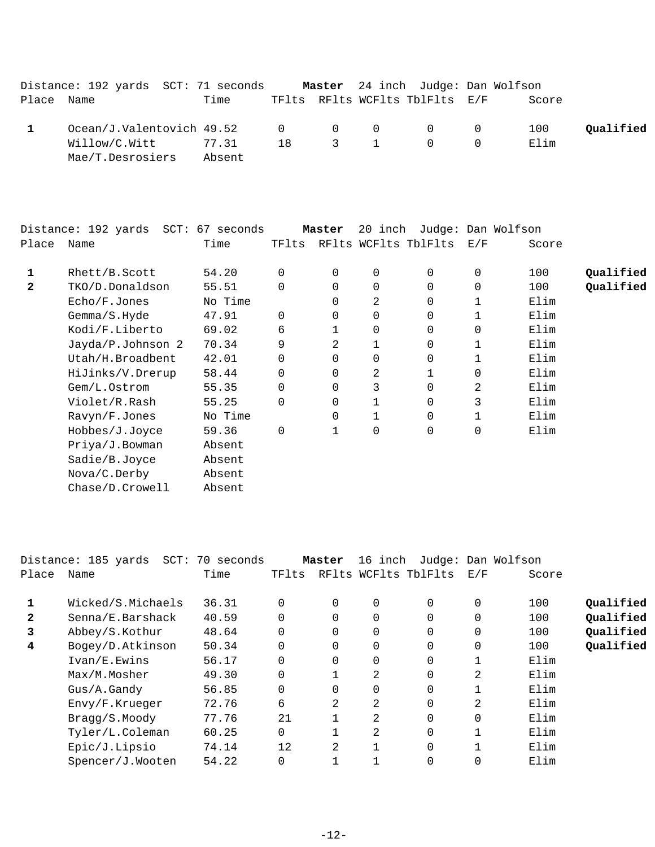|            | Distance: 192 yards SCT: 71 seconds             |        |  | Master 24 inch Judge: Dan Wolfson |       |           |
|------------|-------------------------------------------------|--------|--|-----------------------------------|-------|-----------|
| Place Name |                                                 | Time   |  | TFlts RFlts WCFlts TblFlts E/F    | Score |           |
|            | $Ocean/J.Valentovich$ 49.52 $0$ $0$ $0$ $0$ $0$ |        |  |                                   | 100   | Qualified |
|            | Willow/C.Witt                                   | 77.31  |  | 18 3 1 0 0                        | Elim  |           |
|            | Mae/T.Desrosiers                                | Absent |  |                                   |       |           |

|       | Distance: 192 yards<br>SCT: | 67 seconds |          | Master | 20<br>inch  |                      |     | Judge: Dan Wolfson |           |
|-------|-----------------------------|------------|----------|--------|-------------|----------------------|-----|--------------------|-----------|
| Place | Name                        | Time       | TFlts    |        |             | RFlts WCFlts TblFlts | E/F | Score              |           |
| 1     | Rhett/B.Scott               | 54.20      | 0        | 0      | 0           | 0                    | 0   | 100                | Qualified |
| 2     | TKO/D.Donaldson             | 55.51      | $\Omega$ | 0      | $\mathbf 0$ | 0                    | 0   | 100                | Qualified |
|       | Echo/F.Jones                | No Time    |          | 0      | 2           | 0                    | 1   | Elim               |           |
|       | Gemma/S.Hyde                | 47.91      | 0        | 0      | $\mathbf 0$ | 0                    |     | Elim               |           |
|       | Kodi/F.Liberto              | 69.02      | 6        |        | 0           | 0                    | 0   | Elim               |           |
|       | Jayda/P.Johnson 2           | 70.34      | 9        | 2      |             | 0                    | 1   | Elim               |           |
|       | Utah/H.Broadbent            | 42.01      | $\Omega$ | 0      | $\mathbf 0$ | 0                    | 1   | Elim               |           |
|       | HiJinks/V.Drerup            | 58.44      | 0        | 0      | 2           |                      | 0   | Elim               |           |
|       | Gem/L.Ostrom                | 55.35      | 0        | 0      | 3           | 0                    | 2   | Elim               |           |
|       | Violet/R.Rash               | 55.25      | $\Omega$ | 0      | 1           | 0                    | 3   | Elim               |           |
|       | Ravyn/F.Jones               | No Time    |          | 0      | 1           | 0                    | 1   | Elim               |           |
|       | Hobbes/J.Joyce              | 59.36      | 0        |        | $\mathbf 0$ | 0                    | 0   | Elim               |           |
|       | Priya/J.Bowman              | Absent     |          |        |             |                      |     |                    |           |
|       | Sadie/B.Joyce               | Absent     |          |        |             |                      |     |                    |           |
|       | Nova/C.Derby                | Absent     |          |        |             |                      |     |                    |           |
|       | Chase/D.Crowell             | Absent     |          |        |             |                      |     |                    |           |
|       |                             |            |          |        |             |                      |     |                    |           |

|       | Distance: 185 yards SCT: 70 seconds |       |          | Master   | 16 inch     |                      |                | Judge: Dan Wolfson |           |
|-------|-------------------------------------|-------|----------|----------|-------------|----------------------|----------------|--------------------|-----------|
| Place | Name                                | Time  | TFlts    |          |             | RFlts WCFlts TblFlts | E/F            | Score              |           |
|       | Wicked/S.Michaels                   | 36.31 | $\Omega$ | 0        | 0           | $\Omega$             | 0              | 100                | Qualified |
| 2     | Senna/E.Barshack                    | 40.59 | $\Omega$ | $\Omega$ | $\Omega$    | $\Omega$             | $\Omega$       | 100                | Qualified |
| 3     | Abbey/S.Kothur                      | 48.64 | 0        | 0        | 0           | $\Omega$             | $\Omega$       | 100                | Qualified |
| 4     | Bogey/D.Atkinson                    | 50.34 | $\Omega$ | $\Omega$ | $\mathbf 0$ | $\Omega$             | $\Omega$       | 100                | Qualified |
|       | Ivan/E.Ewins                        | 56.17 | 0        | 0        | $\mathbf 0$ | $\Omega$             |                | Elim               |           |
|       | Max/M.Mosher                        | 49.30 | $\Omega$ |          | 2           | $\Omega$             | $\overline{2}$ | Elim               |           |
|       | $Gus/A$ . Gandy                     | 56.85 | 0        | 0        | 0           | $\Omega$             |                | Elim               |           |
|       | Envy/F.Krueger                      | 72.76 | 6        | 2        | 2           | $\Omega$             | $\overline{2}$ | Elim               |           |
|       | Bragg/S.Moody                       | 77.76 | 21       |          | 2           | $\Omega$             | $\Omega$       | Elim               |           |
|       | Tyler/L.Coleman                     | 60.25 | $\Omega$ |          | 2           | $\Omega$             |                | Elim               |           |
|       | Epic/J.Lipsio                       | 74.14 | 12       | 2        | 1           | $\Omega$             |                | Elim               |           |
|       | Spencer/J.Wooten                    | 54.22 | 0        |          |             | 0                    |                | Elim               |           |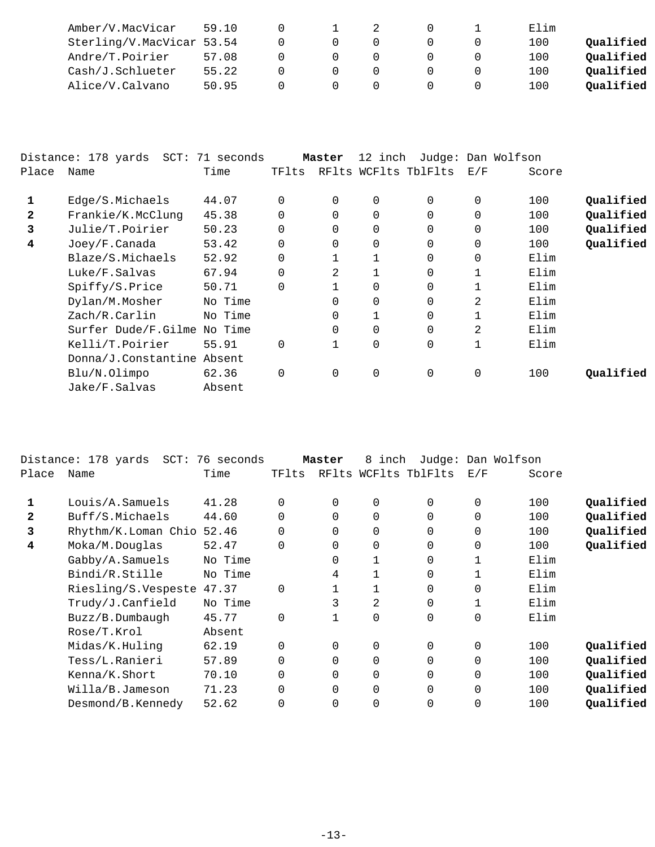| Amber/V.MacVicar          | 59.10 |  |  | Elim |           |
|---------------------------|-------|--|--|------|-----------|
| Sterling/V.MacVicar 53.54 |       |  |  | 100  | Qualified |
| Andre/T.Poirier           | 57.08 |  |  | 100  | Oualified |
| Cash/J.Schlueter          | 55.22 |  |  | 100  | Oualified |
| Alice/V.Calvano           | 50.95 |  |  | - 00 | Oualified |

|       | Distance: 178 yards SCT: 71 seconds |         |          | Master         | 12 inch        |                      |              | Judge: Dan Wolfson |           |
|-------|-------------------------------------|---------|----------|----------------|----------------|----------------------|--------------|--------------------|-----------|
| Place | Name                                | Time    | TFlts    |                |                | RFlts WCFlts TblFlts | E/F          | Score              |           |
| 1     | Edge/S.Michaels                     | 44.07   | 0        | $\Omega$       | 0              | $\Omega$             | 0            | 100                | Qualified |
| 2     | Frankie/K.McClung                   | 45.38   | $\Omega$ | $\Omega$       | $\Omega$       | $\Omega$             | 0            | 100                | Qualified |
| 3     | Julie/T.Poirier                     | 50.23   | 0        | $\Omega$       | 0              | $\Omega$             | 0            | 100                | Qualified |
| 4     | Joey/F.Canada                       | 53.42   | $\Omega$ | $\Omega$       | $\overline{0}$ | $\Omega$             | $\Omega$     | 100                | Qualified |
|       | Blaze/S.Michaels                    | 52.92   | 0        |                | 1              | $\Omega$             | $\Omega$     | Elim               |           |
|       | Luke/F.Salvas                       | 67.94   | $\Omega$ | 2              | 1              | $\Omega$             | $\mathbf{1}$ | Elim               |           |
|       | Spiffy/S.Price                      | 50.71   | 0        |                | 0              | $\Omega$             |              | Elim               |           |
|       | Dylan/M.Mosher                      | No Time |          | $\Omega$       | 0              | $\Omega$             | 2            | Elim               |           |
|       | Zach/R.Carlin                       | No Time |          | $\Omega$       | 1              | $\Omega$             |              | Elim               |           |
|       | Surfer Dude/F.Gilme                 | No Time |          | $\Omega$       | $\Omega$       | $\Omega$             | 2            | Elim               |           |
|       | Kelli/T.Poirier                     | 55.91   | 0        |                | 0              | $\Omega$             | 1            | Elim               |           |
|       | Donna/J.Constantine Absent          |         |          |                |                |                      |              |                    |           |
|       | Blu/N.Olimpo                        | 62.36   | 0        | $\overline{0}$ | 0              | 0                    | 0            | 100                | Qualified |
|       | Jake/F.Salvas                       | Absent  |          |                |                |                      |              |                    |           |

|              | Distance: 178 yards<br>$SCT$ : | 76 seconds |             | Master         | 8<br>inch |                      |             | Judge: Dan Wolfson |           |
|--------------|--------------------------------|------------|-------------|----------------|-----------|----------------------|-------------|--------------------|-----------|
| Place        | Name                           | Time       | TFlts       |                |           | RFlts WCFlts TblFlts | E/F         | Score              |           |
|              | Louis/A.Samuels                | 41.28      | $\Omega$    | 0              | 0         | 0                    | 0           | 100                | Qualified |
| $\mathbf{z}$ | Buff/S.Michaels                | 44.60      | $\Omega$    | $\overline{0}$ | 0         | $\Omega$             | $\mathbf 0$ | 100                | Qualified |
| 3            | Rhythm/K.Loman Chio            | 52.46      | $\Omega$    | $\Omega$       | 0         | 0                    | $\mathbf 0$ | 100                | Qualified |
| 4            | Moka/M.Douglas                 | 52.47      | $\Omega$    | $\Omega$       | 0         | 0                    | $\mathbf 0$ | 100                | Qualified |
|              | Gabby/A.Samuels                | No Time    |             | 0              |           | 0                    |             | Elim               |           |
|              | Bindi/R.Stille                 | No Time    |             | 4              |           | 0                    |             | Elim               |           |
|              | Riesling/S.Vespeste            | 47.37      | $\Omega$    |                |           | 0                    | $\Omega$    | Elim               |           |
|              | Trudy/J.Canfield               | No Time    |             | 3              | 2         | $\Omega$             |             | Elim               |           |
|              | Buzz/B.Dumbaugh                | 45.77      | $\mathbf 0$ |                | 0         | 0                    | $\mathbf 0$ | Elim               |           |
|              | Rose/T.Krol                    | Absent     |             |                |           |                      |             |                    |           |
|              | Midas/K.Huling                 | 62.19      | 0           | 0              | 0         | 0                    | 0           | 100                | Qualified |
|              | Tess/L.Ranieri                 | 57.89      | 0           | $\mathbf 0$    | 0         | 0                    | $\mathbf 0$ | 100                | Qualified |
|              | Kenna/K.Short                  | 70.10      | $\Omega$    | $\Omega$       | 0         | 0                    | $\mathbf 0$ | 100                | Qualified |
|              | Willa/B.Jameson                | 71.23      | $\Omega$    | $\Omega$       | 0         | $\Omega$             | $\mathbf 0$ | 100                | Qualified |
|              | Desmond/B.Kennedy              | 52.62      | $\Omega$    | $\Omega$       | 0         | $\Omega$             | 0           | 100                | Qualified |
|              |                                |            |             |                |           |                      |             |                    |           |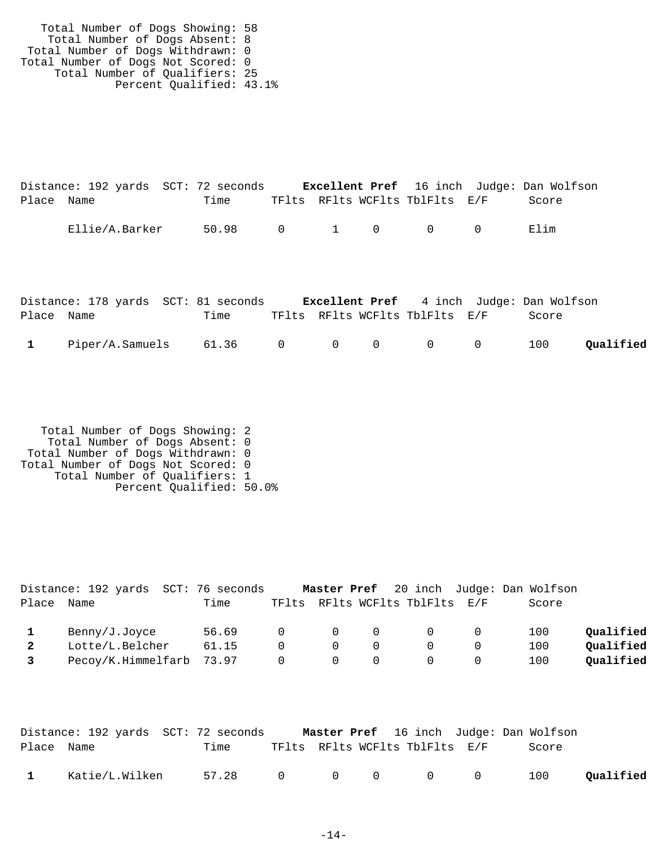Total Number of Dogs Showing: 58 Total Number of Dogs Absent: 8 Total Number of Dogs Withdrawn: 0 Total Number of Dogs Not Scored: 0 Total Number of Qualifiers: 25 Percent Qualified: 43.1%

|            | Distance: 192 yards SCT: 72 seconds |             |  |                                | <b>Excellent Pref</b> 16 inch Judge: Dan Wolfson |
|------------|-------------------------------------|-------------|--|--------------------------------|--------------------------------------------------|
| Place Name |                                     | Time        |  | TFlts RFlts WCFlts TblFlts E/F | Score                                            |
|            | Ellie/A.Barker                      | 50.98 0 1 0 |  | $\overline{0}$ 0               | Elim                                             |

|                | Distance: 178 yards SCT: 81 seconds |  |                                | <b>Excellent Pref</b> 4 inch Judge: Dan Wolfson |           |
|----------------|-------------------------------------|--|--------------------------------|-------------------------------------------------|-----------|
| Place Name     | Time                                |  | TFlts RFlts WCFlts TblFlts E/F | Score                                           |           |
| $\mathbf{1}$ . | $Piper/A. Samuels$ 61.36 0 0 0 0 0  |  |                                | 100                                             | Qualified |

 Total Number of Dogs Showing: 2 Total Number of Dogs Absent: 0 Total Number of Dogs Withdrawn: 0 Total Number of Dogs Not Scored: 0 Total Number of Qualifiers: 1 Percent Qualified: 50.0%

|              | Distance: 192 yards SCT: 76 seconds |       |          |          |                                         |                                |                | Master Pref 20 inch Judge: Dan Wolfson |           |
|--------------|-------------------------------------|-------|----------|----------|-----------------------------------------|--------------------------------|----------------|----------------------------------------|-----------|
| Place        | Name                                | Time  |          |          |                                         | TFlts RFlts WCFlts TblFlts E/F |                | Score                                  |           |
|              | Benny/J.Joyce                       | 56.69 |          |          | $\begin{matrix} 0 & 0 & 0 \end{matrix}$ | $\overline{0}$                 | $\overline{0}$ | 100                                    | Qualified |
|              | Lotte/L.Belcher                     | 61.15 | $\Omega$ | $\Omega$ | - 0                                     | $\cap$                         | $\bigcirc$     | 100                                    | Qualified |
| $\mathbf{3}$ | Pecoy/K.Himmelfarb 73.97 0 0        |       |          |          | - 0                                     | $\Box$ O                       | 0              | 100                                    | Qualified |

|              | Distance: 192 yards SCT: 72 seconds |                 |  |                                | <b>Master Pref</b> 16 inch Judge: Dan Wolfson |           |
|--------------|-------------------------------------|-----------------|--|--------------------------------|-----------------------------------------------|-----------|
| Place Name   |                                     | Time            |  | TFlts RFlts WCFlts TblFlts E/F | Score                                         |           |
| $\mathbf{1}$ | Katie/L.Wilken                      | 57.28 0 0 0 0 0 |  |                                | 100                                           | Oualified |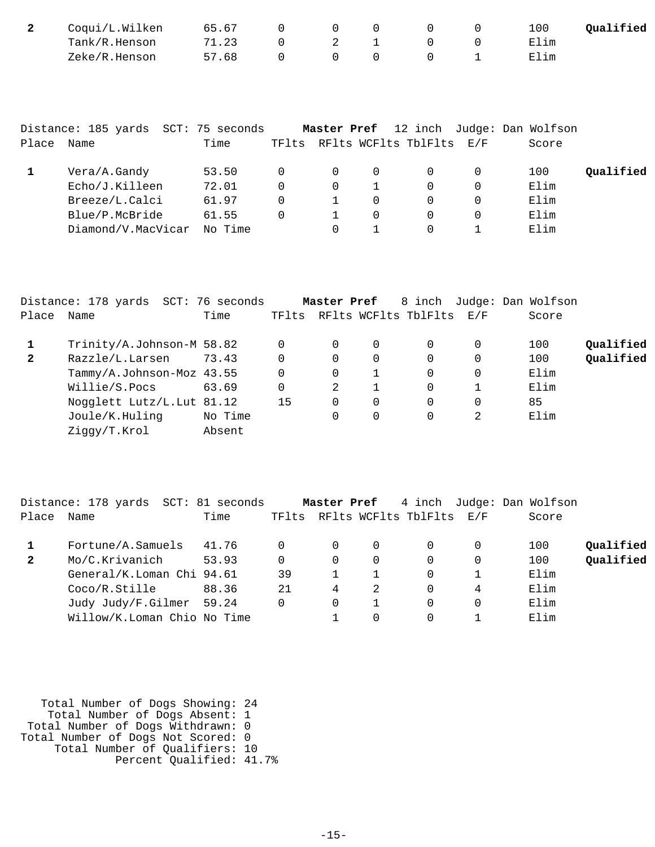| Coqui/L.Wilken | 65.67 |           |  |  | Oualified<br>100 |
|----------------|-------|-----------|--|--|------------------|
| Tank/R.Henson  | 71.23 | $\Omega$  |  |  | Elim             |
| Zeke/R.Henson  | 57.68 | $\bigcap$ |  |  | Elim             |

|       | Distance: 185 yards SCT: 75 seconds |         |   | Master Pref |          |                                | 12 inch Judge: Dan Wolfson |           |
|-------|-------------------------------------|---------|---|-------------|----------|--------------------------------|----------------------------|-----------|
| Place | Name                                | Time    |   |             |          | TFlts RFlts WCFlts TblFlts E/F | Score                      |           |
|       | Vera/A.Gandy                        | 53.50   |   | 0           | $\Omega$ | $\Omega$                       | 100                        | Qualified |
|       | Echo/J.Killeen                      | 72.01   | 0 | 0           |          |                                | Elim                       |           |
|       | Breeze/L.Calci                      | 61.97   | 0 |             | $\Omega$ | $\Omega$                       | Elim                       |           |
|       | Blue/P.McBride                      | 61.55   | 0 |             | $\Omega$ |                                | Elim                       |           |
|       | Diamond/V.MacVicar                  | No Time |   |             |          |                                | Elim                       |           |

|              | Distance: 178 yards SCT: 76 seconds |         |    | Master Pref |             | 8 inch                         |   | Judge: Dan Wolfson |           |
|--------------|-------------------------------------|---------|----|-------------|-------------|--------------------------------|---|--------------------|-----------|
| Place        | Name                                | Time    |    |             |             | TFlts RFlts WCFlts TblFlts E/F |   | Score              |           |
|              | Trinity/A.Johnson-M 58.82           |         | 0  |             | $\mathbf 0$ | $\Omega$                       |   | 100                | Qualified |
| $\mathbf{2}$ | Razzle/L.Larsen                     | 73.43   | 0  | 0           | 0           | 0                              |   | 100                | Qualified |
|              | Tammy/A.Johnson-Moz 43.55           |         | 0  | 0           |             | 0                              |   | Elim               |           |
|              | Willie/S.Pocs                       | 63.69   | 0  | 2           |             | $\Omega$                       |   | Elim               |           |
|              | Nogglett Lutz/L. Lut 81.12          |         | 15 | $\Omega$    | $\Omega$    | $\Omega$                       |   | 85                 |           |
|              | Joule/K.Huling                      | No Time |    |             | 0           | 0                              | 2 | Elim               |           |
|              | Ziggy/T.Krol                        | Absent  |    |             |             |                                |   |                    |           |
|              |                                     |         |    |             |             |                                |   |                    |           |

|       | Distance: 178 yards SCT: 81 seconds |       |       | Master Pref |          |                          |   | 4 inch Judge: Dan Wolfson |           |
|-------|-------------------------------------|-------|-------|-------------|----------|--------------------------|---|---------------------------|-----------|
| Place | Name                                | Time  | TFlts |             |          | RFlts WCFlts TblFlts E/F |   | Score                     |           |
|       | Fortune/A.Samuels                   | 41.76 |       | $\Omega$    | $\Omega$ | 0                        |   | 100                       | Qualified |
| 2     | Mo/C.Krivanich                      | 53.93 |       | 0           | 0        | $\Omega$                 |   | 100                       | Qualified |
|       | General/K.Loman Chi 94.61           |       | 39    |             |          | $\Omega$                 |   | Elim                      |           |
|       | Coco/R.Stille                       | 88.36 | 21    | 4           | 2        | 0                        | 4 | Elim                      |           |
|       | Judy Judy/F.Gilmer 59.24            |       |       | 0           |          | 0                        |   | Elim                      |           |
|       | Willow/K.Loman Chio No Time         |       |       |             | 0        | O                        |   | Elim                      |           |

| Total Number of Dogs Showing: 24   |  |
|------------------------------------|--|
| Total Number of Dogs Absent: 1     |  |
| Total Number of Dogs Withdrawn: 0  |  |
| Total Number of Dogs Not Scored: 0 |  |
| Total Number of Qualifiers: 10     |  |
| Percent Qualified: 41.7%           |  |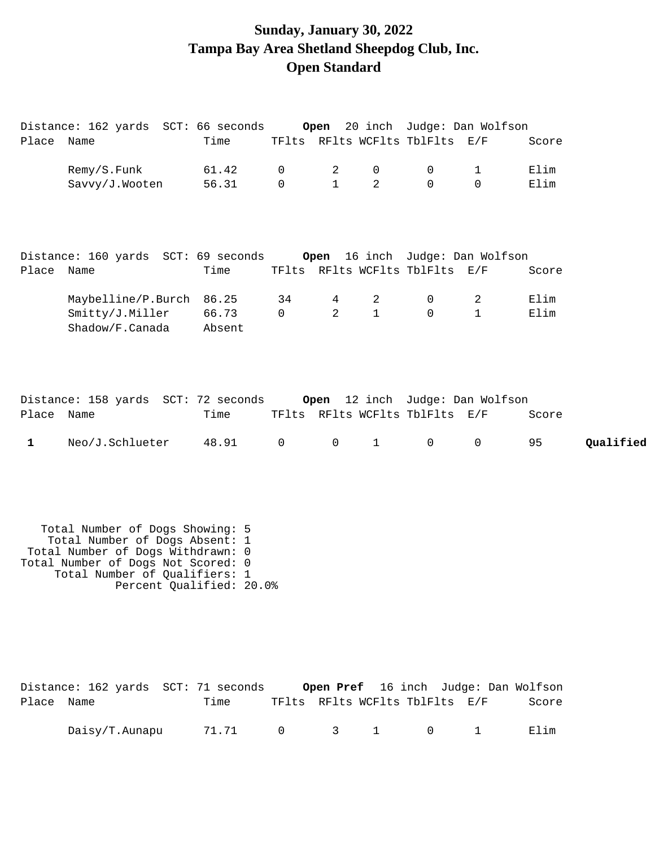# **Sunday, January 30, 2022 Tampa Bay Area Shetland Sheepdog Club, Inc. Open Standard**

|             | Distance: 162 yards SCT: 66 seconds                                                                                                                                                                       |                 |                |                |                |                                | Open 20 inch Judge: Dan Wolfson |       |           |
|-------------|-----------------------------------------------------------------------------------------------------------------------------------------------------------------------------------------------------------|-----------------|----------------|----------------|----------------|--------------------------------|---------------------------------|-------|-----------|
| Place Name  |                                                                                                                                                                                                           | Time            |                |                |                | TFlts RFlts WCFlts TblFlts E/F |                                 | Score |           |
|             | Remy/S.Funk                                                                                                                                                                                               | 61.42           | $\mathsf{O}$   | $\overline{2}$ | $\mathbf 0$    | $\mathsf{O}$                   | $\mathbf 1$                     | Elim  |           |
|             | Savvy/J.Wooten                                                                                                                                                                                            | 56.31           | $\Omega$       | $\mathbf{1}$   | 2              | $\Omega$                       | $\Omega$                        | Elim  |           |
|             | Distance: 160 yards SCT: 69 seconds Open 16 inch Judge: Dan Wolfson                                                                                                                                       |                 |                |                |                |                                |                                 |       |           |
| Place Name  |                                                                                                                                                                                                           | Time            |                |                |                | TFlts RFlts WCFlts TblFlts E/F |                                 | Score |           |
|             | Maybelline/P.Burch 86.25                                                                                                                                                                                  |                 | 34             | 4              | $\overline{2}$ | 0                              | $\overline{2}$                  | Elim  |           |
|             | Smitty/J.Miller<br>Shadow/F.Canada                                                                                                                                                                        | 66.73<br>Absent | $\overline{0}$ | $\overline{a}$ | $\mathbf{1}$   | $\Omega$                       | $\mathbf{1}$                    | Elim  |           |
| Place Name  | Distance: 158 yards SCT: 72 seconds                                                                                                                                                                       | Time            |                |                |                | TFlts RFlts WCFlts TblFlts E/F | Open 12 inch Judge: Dan Wolfson | Score |           |
| $\mathbf 1$ | Neo/J.Schlueter                                                                                                                                                                                           | 48.91           | $\mathsf{O}$   | $\mathsf{O}$   | $\mathbf{1}$   | $\mathsf{O}$                   | $\mathbf 0$                     | 95    | Qualified |
|             | Total Number of Dogs Showing: 5<br>Total Number of Dogs Absent: 1<br>Total Number of Dogs Withdrawn: 0<br>Total Number of Dogs Not Scored: 0<br>Total Number of Qualifiers: 1<br>Percent Qualified: 20.0% |                 |                |                |                |                                |                                 |       |           |

|            | Distance: 162 yards SCT: 71 seconds |                 |                                |  |  | <b>Open Pref</b> 16 inch Judge: Dan Wolfson |
|------------|-------------------------------------|-----------------|--------------------------------|--|--|---------------------------------------------|
| Place Name |                                     | Time            | TFlts RFlts WCFlts TblFlts E/F |  |  | Score                                       |
|            | Daisy/T.Aunapu                      | 71.71 0 3 1 0 1 |                                |  |  | Elim                                        |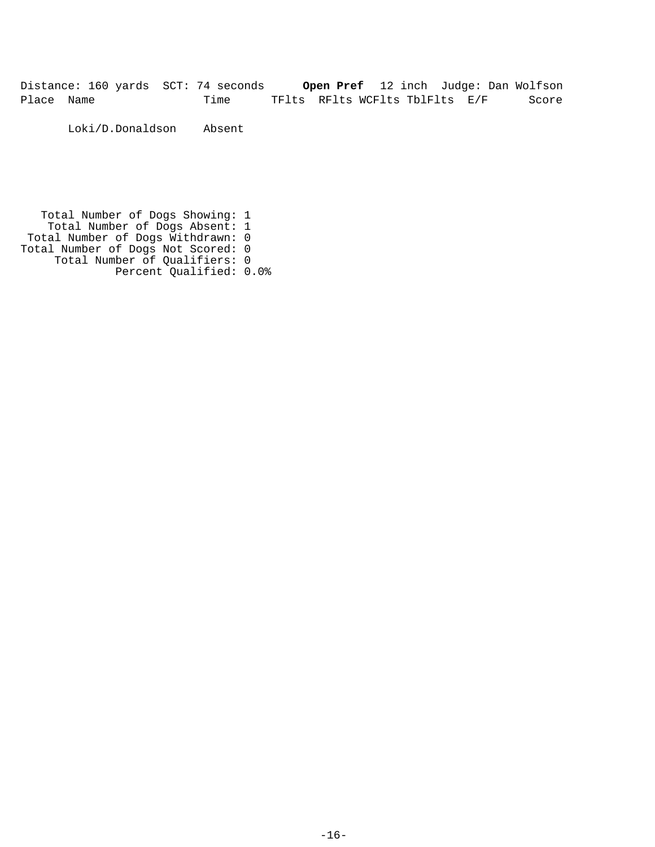Distance: 160 yards SCT: 74 seconds **Open Pref** 12 inch Judge: Dan Wolfson Place Name Time TFlts RFlts WCFlts TblFlts E/F Score

Loki/D.Donaldson Absent

 Total Number of Dogs Showing: 1 Total Number of Dogs Absent: 1 Total Number of Dogs Withdrawn: 0 Total Number of Dogs Not Scored: 0 Total Number of Qualifiers: 0 Percent Qualified: 0.0%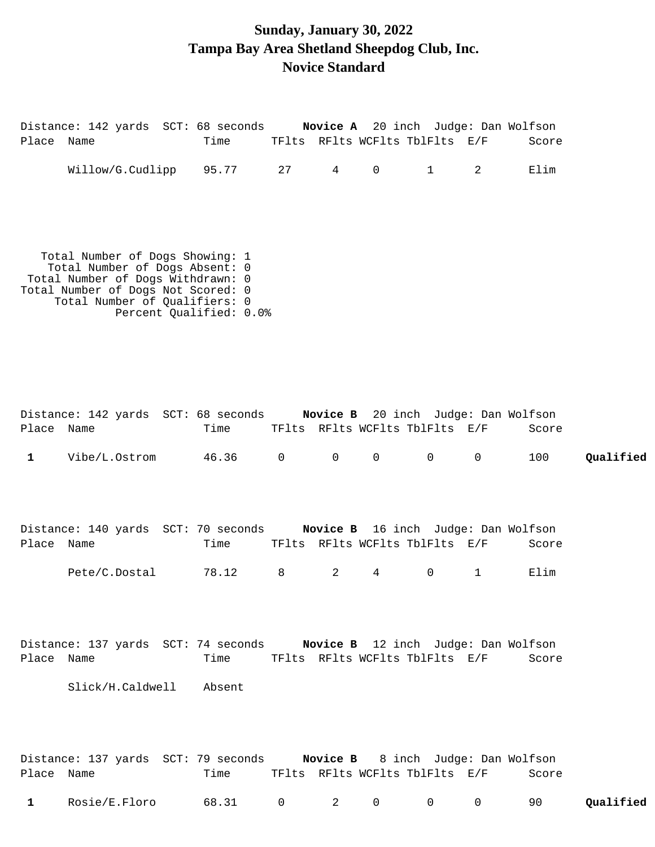### **Sunday, January 30, 2022 Tampa Bay Area Shetland Sheepdog Club, Inc. Novice Standard**

| Place Name   | Distance: 142 yards SCT: 68 seconds Novice A 20 inch Judge: Dan Wolfson                                                                                                       | Time                    |                | TFlts RFlts WCFlts TblFlts E/F |                     |                |                   | Score         |           |
|--------------|-------------------------------------------------------------------------------------------------------------------------------------------------------------------------------|-------------------------|----------------|--------------------------------|---------------------|----------------|-------------------|---------------|-----------|
|              | Willow/G.Cudlipp 95.77 27                                                                                                                                                     |                         |                | $4\degree$                     | $\mathsf{O}$        | $\mathbf{1}$   | 2                 | Elim          |           |
|              | Total Number of Dogs Showing: 1<br>Total Number of Dogs Absent: 0<br>Total Number of Dogs Withdrawn: 0<br>Total Number of Dogs Not Scored: 0<br>Total Number of Qualifiers: 0 | Percent Qualified: 0.0% |                |                                |                     |                |                   |               |           |
| Place Name   | Distance: 142 yards SCT: 68 seconds Novice B 20 inch Judge: Dan Wolfson                                                                                                       | Time                    |                | TFlts RFlts WCFlts TblFlts E/F |                     |                |                   | Score         |           |
| $\mathbf{1}$ | Vibe/L.Ostrom                                                                                                                                                                 | 46.36                   | $\overline{0}$ |                                | $0\qquad 0\qquad 0$ |                | $\overline{0}$    | 100           | Qualified |
|              | Distance: 140 yards SCT: 70 seconds Novice B 16 inch Judge: Dan Wolfson                                                                                                       |                         |                | TFlts RFlts WCFlts TblFlts E/F |                     |                |                   |               |           |
| Place Name   | Pete/C.Dostal                                                                                                                                                                 | Time<br>78.12 8         |                | $2 \left( \frac{1}{2} \right)$ | $\overline{4}$      | $\overline{0}$ | $1 \qquad \qquad$ | Score<br>Elim |           |
|              | Distance: 137 yards SCT: 74 seconds Novice B 12 inch Judge: Dan Wolfson                                                                                                       |                         |                |                                |                     |                |                   |               |           |
| Place Name   |                                                                                                                                                                               | Time                    |                | TFlts RFlts WCFlts TblFlts E/F |                     |                |                   | Score         |           |

Slick/H.Caldwell Absent

|              |               | Distance: 137 yards SCT: 79 seconds |  | <b>Novice B</b> 8 inch Judge: Dan Wolfson |       |           |
|--------------|---------------|-------------------------------------|--|-------------------------------------------|-------|-----------|
| Place Name   |               | Time                                |  | TFlts RFlts WCFlts TblFlts E/F            | Score |           |
| $\mathbf{1}$ | Rosie/E.Floro | 68.31 0 2 0 0 0 90                  |  |                                           |       | Qualified |